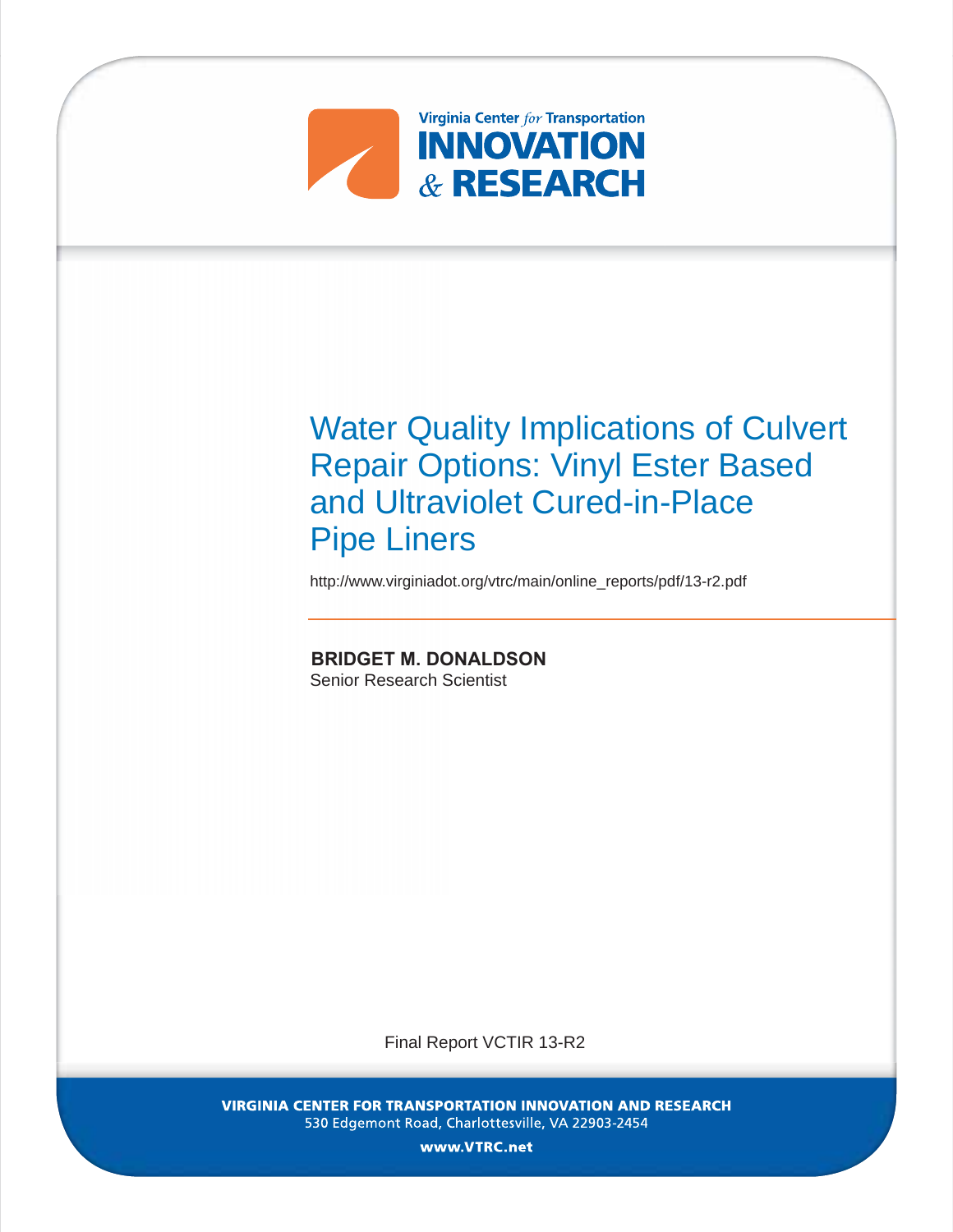

Water Quality Implications of Culvert Repair Options: Vinyl Ester Based and Ultraviolet Cured-in-Place Pipe Liners

http://www.virginiadot.org/vtrc/main/online\_reports/pdf/13-r2.pdf

**BRIDGET M. DONALDSON** Senior Research Scientist

Final Report VCTIR 13-R2

VIRGINIA CENTER FOR TRANSPORTATION INNOVATION AND RESEARCH 530 Edgemont Road, Charlottesville, VA 22903-2454

www. VTRC.net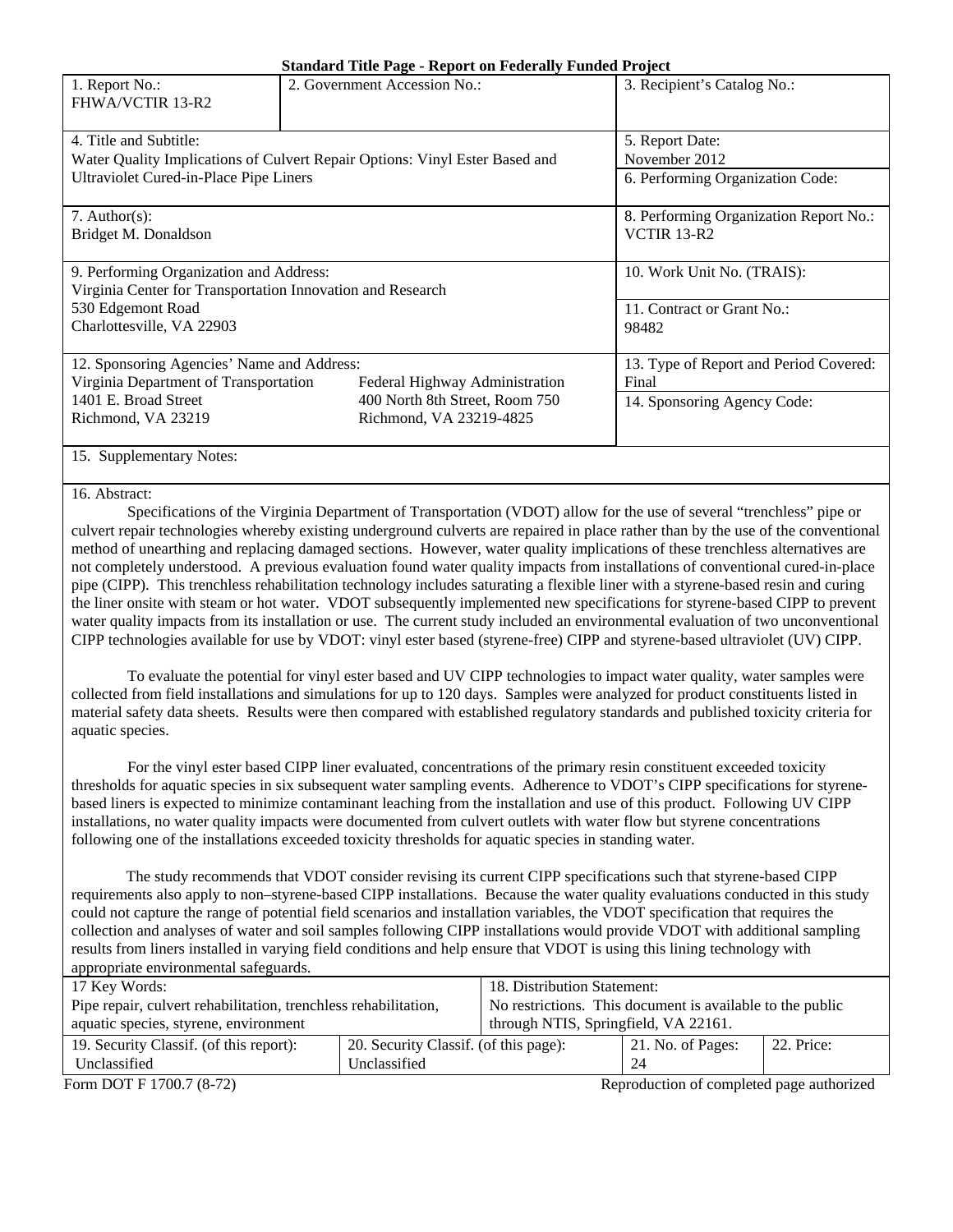|                                                            | $\beta$ and $\alpha$ into Fage - ineport on Federally Funded Froject        |                                        |  |
|------------------------------------------------------------|-----------------------------------------------------------------------------|----------------------------------------|--|
| 1. Report No.:<br>FHWA/VCTIR 13-R2                         | 2. Government Accession No.:                                                | 3. Recipient's Catalog No.:            |  |
| 4. Title and Subtitle:                                     |                                                                             | 5. Report Date:                        |  |
|                                                            | Water Quality Implications of Culvert Repair Options: Vinyl Ester Based and | November 2012                          |  |
|                                                            |                                                                             |                                        |  |
| Ultraviolet Cured-in-Place Pipe Liners                     |                                                                             | 6. Performing Organization Code:       |  |
|                                                            |                                                                             |                                        |  |
| 7. Author(s):                                              |                                                                             | 8. Performing Organization Report No.: |  |
| Bridget M. Donaldson                                       |                                                                             | VCTIR 13-R2                            |  |
|                                                            |                                                                             |                                        |  |
| 9. Performing Organization and Address:                    |                                                                             | 10. Work Unit No. (TRAIS):             |  |
| Virginia Center for Transportation Innovation and Research |                                                                             |                                        |  |
| 530 Edgemont Road                                          | 11. Contract or Grant No.:                                                  |                                        |  |
| Charlottesville, VA 22903                                  | 98482                                                                       |                                        |  |
|                                                            |                                                                             |                                        |  |
| 12. Sponsoring Agencies' Name and Address:                 |                                                                             | 13. Type of Report and Period Covered: |  |
| Virginia Department of Transportation                      | Federal Highway Administration                                              | Final                                  |  |
| 1401 E. Broad Street                                       | 400 North 8th Street, Room 750                                              | 14. Sponsoring Agency Code:            |  |
| Richmond, VA 23219                                         | Richmond, VA 23219-4825                                                     |                                        |  |
|                                                            |                                                                             |                                        |  |
| 15. Supplementary Notes:                                   |                                                                             |                                        |  |
|                                                            |                                                                             |                                        |  |

#### 16. Abstract:

Specifications of the Virginia Department of Transportation (VDOT) allow for the use of several "trenchless" pipe or culvert repair technologies whereby existing underground culverts are repaired in place rather than by the use of the conventional method of unearthing and replacing damaged sections. However, water quality implications of these trenchless alternatives are not completely understood. A previous evaluation found water quality impacts from installations of conventional cured-in-place pipe (CIPP). This trenchless rehabilitation technology includes saturating a flexible liner with a styrene-based resin and curing the liner onsite with steam or hot water. VDOT subsequently implemented new specifications for styrene-based CIPP to prevent water quality impacts from its installation or use. The current study included an environmental evaluation of two unconventional CIPP technologies available for use by VDOT: vinyl ester based (styrene-free) CIPP and styrene-based ultraviolet (UV) CIPP.

To evaluate the potential for vinyl ester based and UV CIPP technologies to impact water quality, water samples were collected from field installations and simulations for up to 120 days. Samples were analyzed for product constituents listed in material safety data sheets. Results were then compared with established regulatory standards and published toxicity criteria for aquatic species.

For the vinyl ester based CIPP liner evaluated, concentrations of the primary resin constituent exceeded toxicity thresholds for aquatic species in six subsequent water sampling events. Adherence to VDOT's CIPP specifications for styrenebased liners is expected to minimize contaminant leaching from the installation and use of this product. Following UV CIPP installations, no water quality impacts were documented from culvert outlets with water flow but styrene concentrations following one of the installations exceeded toxicity thresholds for aquatic species in standing water.

 The study recommends that VDOT consider revising its current CIPP specifications such that styrene-based CIPP requirements also apply to non–styrene-based CIPP installations. Because the water quality evaluations conducted in this study could not capture the range of potential field scenarios and installation variables, the VDOT specification that requires the collection and analyses of water and soil samples following CIPP installations would provide VDOT with additional sampling results from liners installed in varying field conditions and help ensure that VDOT is using this lining technology with appropriate environmental safeguards.

| 17 Key Words:                                                                    | 18. Distribution Statement:                               |  |                   |            |
|----------------------------------------------------------------------------------|-----------------------------------------------------------|--|-------------------|------------|
| Pipe repair, culvert rehabilitation, trenchless rehabilitation,                  | No restrictions. This document is available to the public |  |                   |            |
| aquatic species, styrene, environment                                            | through NTIS, Springfield, VA 22161.                      |  |                   |            |
| 19. Security Classif. (of this report):<br>20. Security Classif. (of this page): |                                                           |  | 21. No. of Pages: | 22. Price: |
| Unclassified<br>Unclassified                                                     |                                                           |  | 24                |            |
|                                                                                  |                                                           |  |                   |            |

Form DOT F 1700.7 (8-72) Reproduction of completed page authorized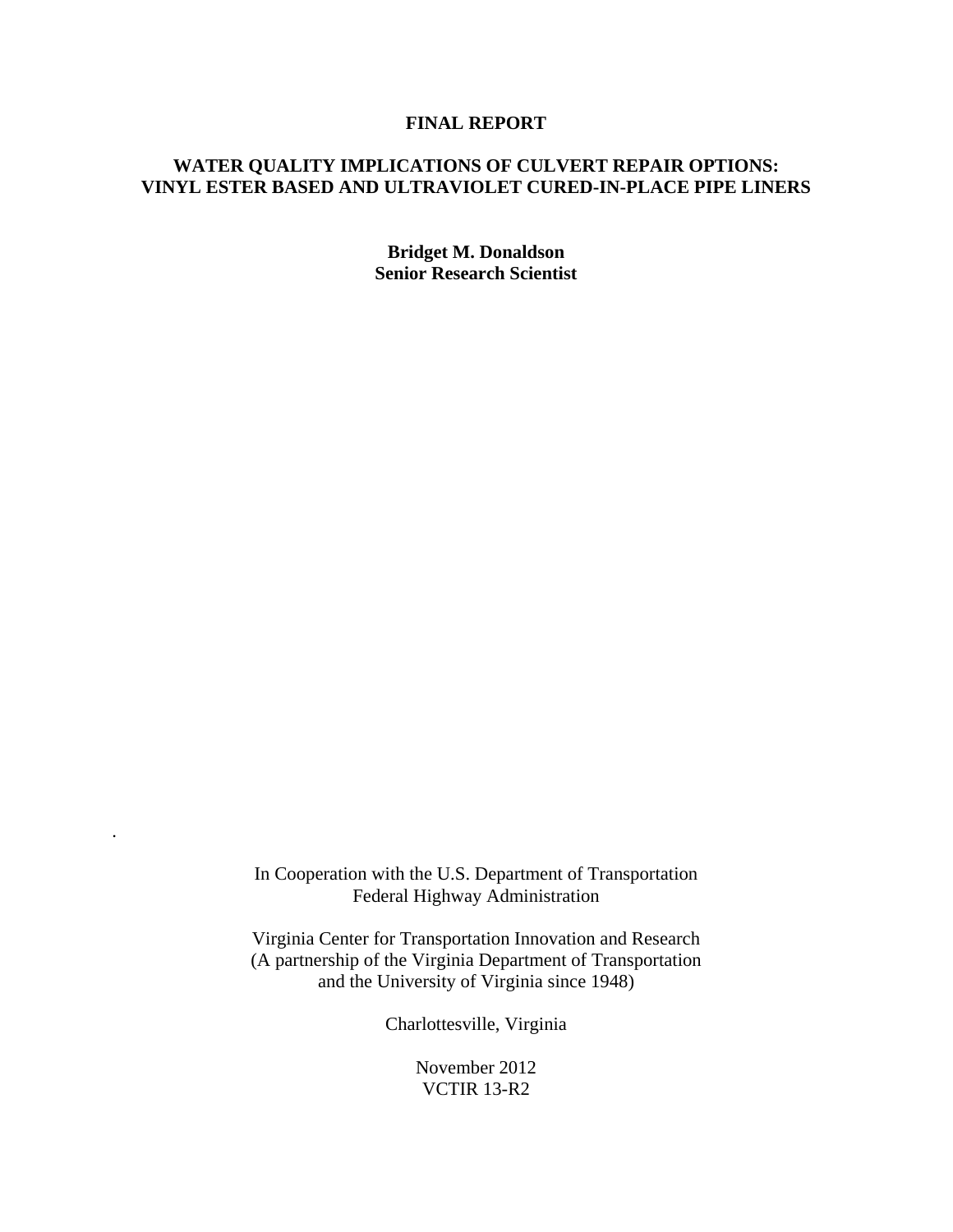## **FINAL REPORT**

# **WATER QUALITY IMPLICATIONS OF CULVERT REPAIR OPTIONS: VINYL ESTER BASED AND ULTRAVIOLET CURED-IN-PLACE PIPE LINERS**

**Bridget M. Donaldson Senior Research Scientist** 

In Cooperation with the U.S. Department of Transportation Federal Highway Administration

.

Virginia Center for Transportation Innovation and Research (A partnership of the Virginia Department of Transportation and the University of Virginia since 1948)

Charlottesville, Virginia

November 2012 VCTIR 13-R2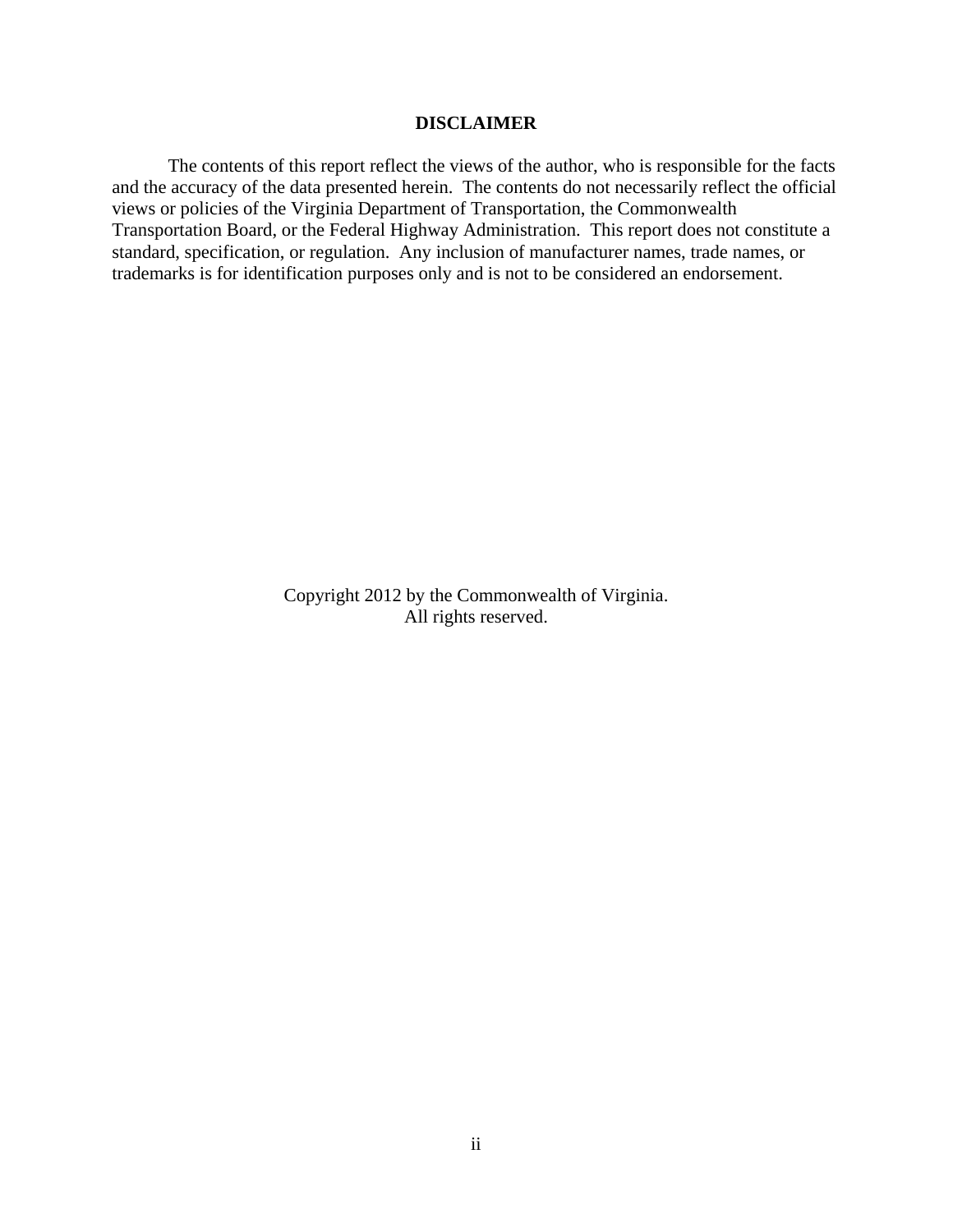## **DISCLAIMER**

The contents of this report reflect the views of the author, who is responsible for the facts and the accuracy of the data presented herein. The contents do not necessarily reflect the official views or policies of the Virginia Department of Transportation, the Commonwealth Transportation Board, or the Federal Highway Administration. This report does not constitute a standard, specification, or regulation. Any inclusion of manufacturer names, trade names, or trademarks is for identification purposes only and is not to be considered an endorsement.

> Copyright 2012 by the Commonwealth of Virginia. All rights reserved.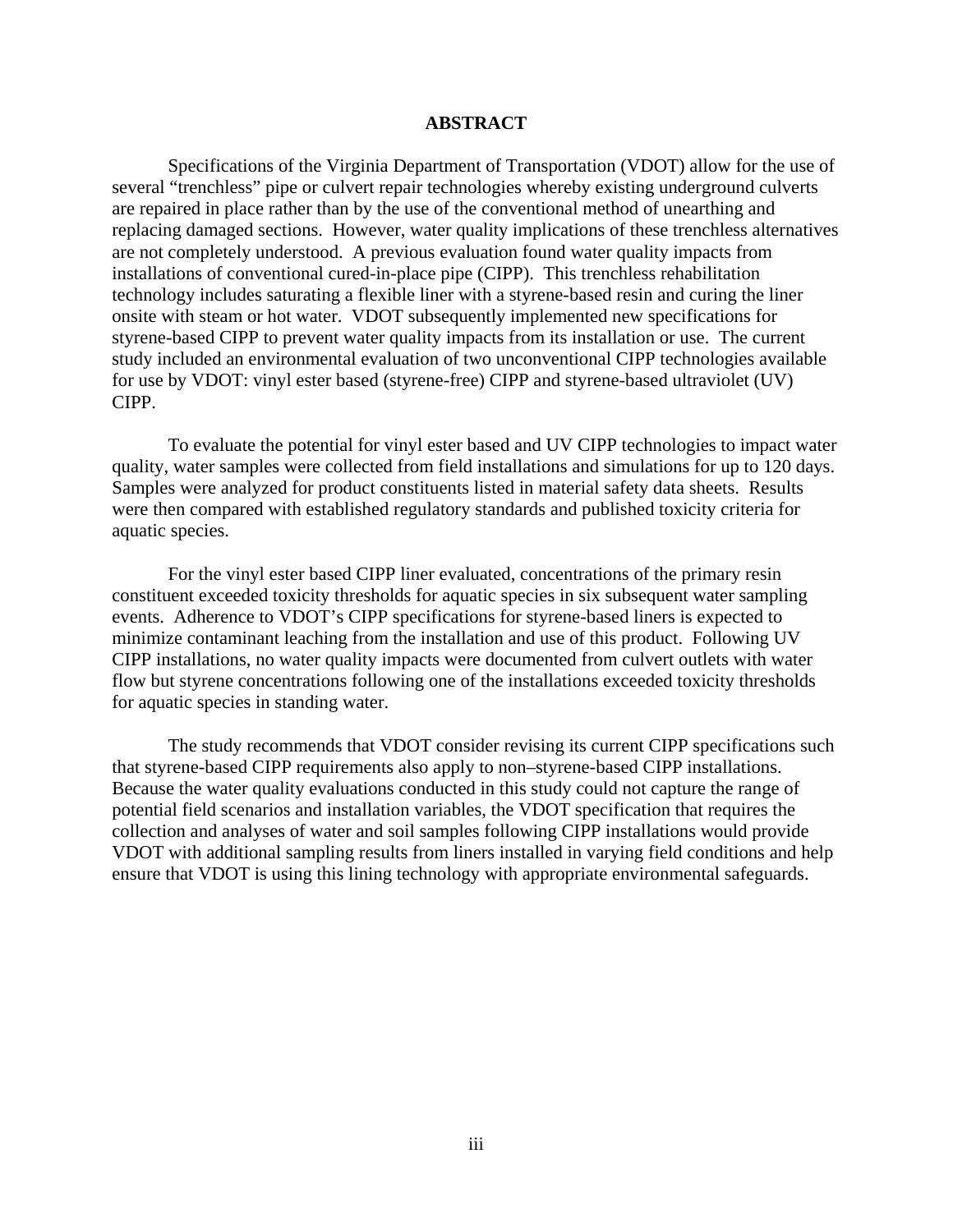#### **ABSTRACT**

Specifications of the Virginia Department of Transportation (VDOT) allow for the use of several "trenchless" pipe or culvert repair technologies whereby existing underground culverts are repaired in place rather than by the use of the conventional method of unearthing and replacing damaged sections. However, water quality implications of these trenchless alternatives are not completely understood. A previous evaluation found water quality impacts from installations of conventional cured-in-place pipe (CIPP). This trenchless rehabilitation technology includes saturating a flexible liner with a styrene-based resin and curing the liner onsite with steam or hot water. VDOT subsequently implemented new specifications for styrene-based CIPP to prevent water quality impacts from its installation or use. The current study included an environmental evaluation of two unconventional CIPP technologies available for use by VDOT: vinyl ester based (styrene-free) CIPP and styrene-based ultraviolet (UV) CIPP.

To evaluate the potential for vinyl ester based and UV CIPP technologies to impact water quality, water samples were collected from field installations and simulations for up to 120 days. Samples were analyzed for product constituents listed in material safety data sheets. Results were then compared with established regulatory standards and published toxicity criteria for aquatic species.

For the vinyl ester based CIPP liner evaluated, concentrations of the primary resin constituent exceeded toxicity thresholds for aquatic species in six subsequent water sampling events. Adherence to VDOT's CIPP specifications for styrene-based liners is expected to minimize contaminant leaching from the installation and use of this product. Following UV CIPP installations, no water quality impacts were documented from culvert outlets with water flow but styrene concentrations following one of the installations exceeded toxicity thresholds for aquatic species in standing water.

The study recommends that VDOT consider revising its current CIPP specifications such that styrene-based CIPP requirements also apply to non–styrene-based CIPP installations. Because the water quality evaluations conducted in this study could not capture the range of potential field scenarios and installation variables, the VDOT specification that requires the collection and analyses of water and soil samples following CIPP installations would provide VDOT with additional sampling results from liners installed in varying field conditions and help ensure that VDOT is using this lining technology with appropriate environmental safeguards.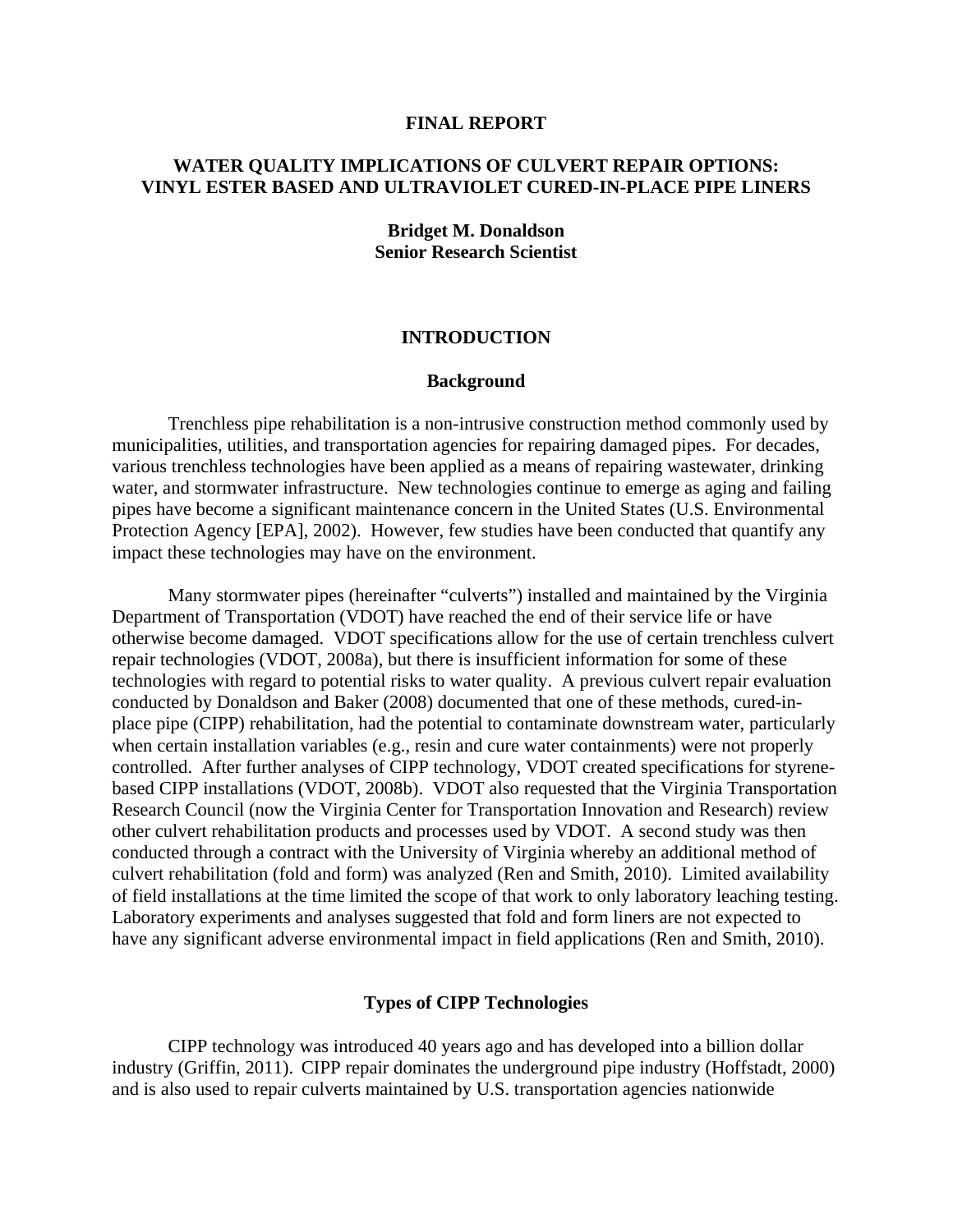#### **FINAL REPORT**

# **WATER QUALITY IMPLICATIONS OF CULVERT REPAIR OPTIONS: VINYL ESTER BASED AND ULTRAVIOLET CURED-IN-PLACE PIPE LINERS**

## **Bridget M. Donaldson Senior Research Scientist**

## **INTRODUCTION**

## **Background**

Trenchless pipe rehabilitation is a non-intrusive construction method commonly used by municipalities, utilities, and transportation agencies for repairing damaged pipes. For decades, various trenchless technologies have been applied as a means of repairing wastewater, drinking water, and stormwater infrastructure. New technologies continue to emerge as aging and failing pipes have become a significant maintenance concern in the United States (U.S. Environmental Protection Agency [EPA], 2002). However, few studies have been conducted that quantify any impact these technologies may have on the environment.

Many stormwater pipes (hereinafter "culverts") installed and maintained by the Virginia Department of Transportation (VDOT) have reached the end of their service life or have otherwise become damaged. VDOT specifications allow for the use of certain trenchless culvert repair technologies (VDOT, 2008a), but there is insufficient information for some of these technologies with regard to potential risks to water quality. A previous culvert repair evaluation conducted by Donaldson and Baker (2008) documented that one of these methods, cured-inplace pipe (CIPP) rehabilitation, had the potential to contaminate downstream water, particularly when certain installation variables (e.g., resin and cure water containments) were not properly controlled. After further analyses of CIPP technology, VDOT created specifications for styrenebased CIPP installations (VDOT, 2008b). VDOT also requested that the Virginia Transportation Research Council (now the Virginia Center for Transportation Innovation and Research) review other culvert rehabilitation products and processes used by VDOT. A second study was then conducted through a contract with the University of Virginia whereby an additional method of culvert rehabilitation (fold and form) was analyzed (Ren and Smith, 2010). Limited availability of field installations at the time limited the scope of that work to only laboratory leaching testing. Laboratory experiments and analyses suggested that fold and form liners are not expected to have any significant adverse environmental impact in field applications (Ren and Smith, 2010).

## **Types of CIPP Technologies**

 CIPP technology was introduced 40 years ago and has developed into a billion dollar industry (Griffin, 2011). CIPP repair dominates the underground pipe industry (Hoffstadt, 2000) and is also used to repair culverts maintained by U.S. transportation agencies nationwide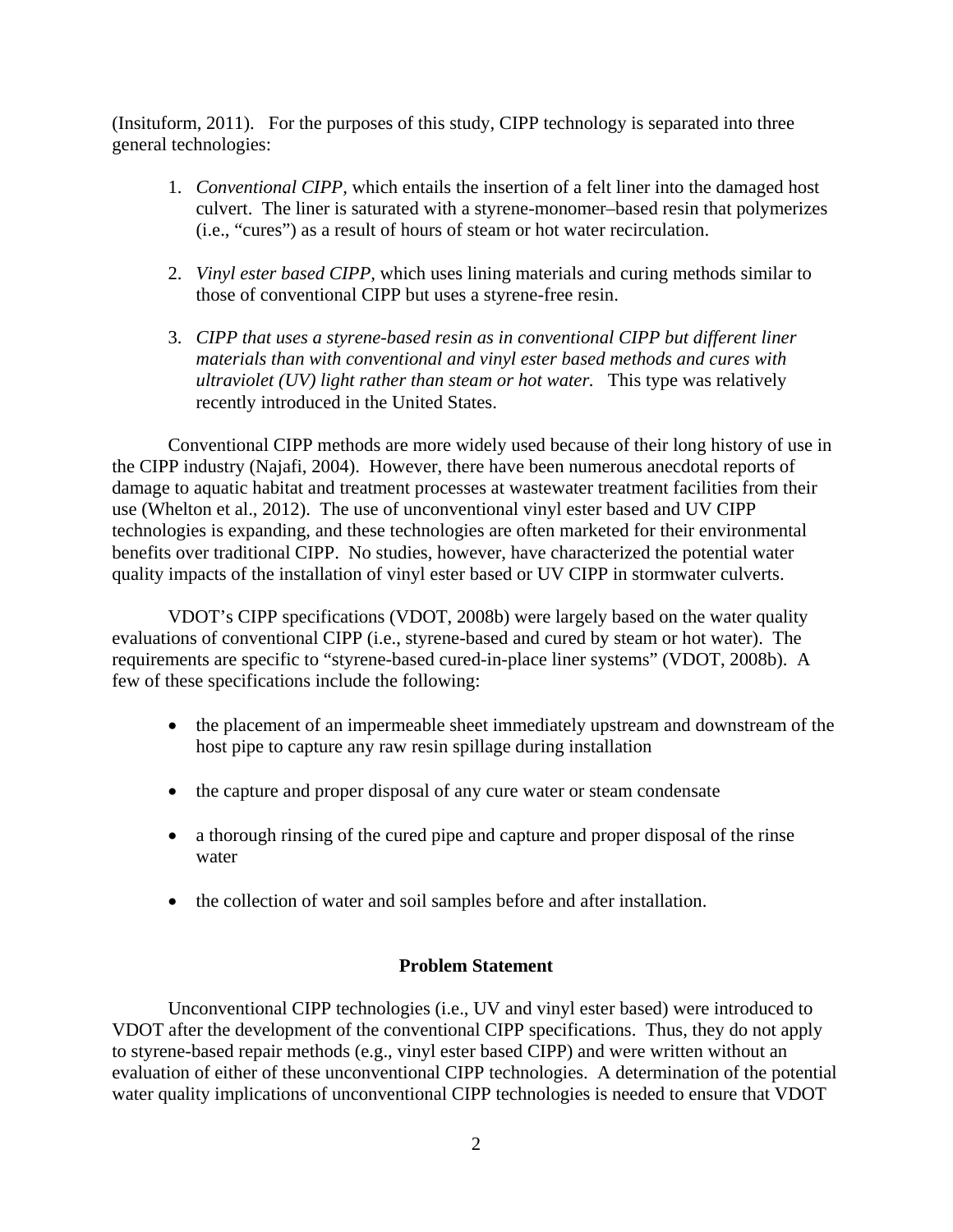(Insituform, 2011). For the purposes of this study, CIPP technology is separated into three general technologies:

- 1. *Conventional CIPP,* which entails the insertion of a felt liner into the damaged host culvert. The liner is saturated with a styrene-monomer–based resin that polymerizes (i.e., "cures") as a result of hours of steam or hot water recirculation.
- 2. *Vinyl ester based CIPP,* which uses lining materials and curing methods similar to those of conventional CIPP but uses a styrene-free resin.
- 3. *CIPP that uses a styrene-based resin as in conventional CIPP but different liner materials than with conventional and vinyl ester based methods and cures with ultraviolet (UV) light rather than steam or hot water.* This type was relatively recently introduced in the United States.

Conventional CIPP methods are more widely used because of their long history of use in the CIPP industry (Najafi, 2004). However, there have been numerous anecdotal reports of damage to aquatic habitat and treatment processes at wastewater treatment facilities from their use (Whelton et al., 2012). The use of unconventional vinyl ester based and UV CIPP technologies is expanding, and these technologies are often marketed for their environmental benefits over traditional CIPP. No studies, however, have characterized the potential water quality impacts of the installation of vinyl ester based or UV CIPP in stormwater culverts.

VDOT's CIPP specifications (VDOT, 2008b) were largely based on the water quality evaluations of conventional CIPP (i.e., styrene-based and cured by steam or hot water). The requirements are specific to "styrene-based cured-in-place liner systems" (VDOT, 2008b). A few of these specifications include the following:

- the placement of an impermeable sheet immediately upstream and downstream of the host pipe to capture any raw resin spillage during installation
- the capture and proper disposal of any cure water or steam condensate
- a thorough rinsing of the cured pipe and capture and proper disposal of the rinse water
- the collection of water and soil samples before and after installation.

## **Problem Statement**

Unconventional CIPP technologies (i.e., UV and vinyl ester based) were introduced to VDOT after the development of the conventional CIPP specifications. Thus, they do not apply to styrene-based repair methods (e.g., vinyl ester based CIPP) and were written without an evaluation of either of these unconventional CIPP technologies. A determination of the potential water quality implications of unconventional CIPP technologies is needed to ensure that VDOT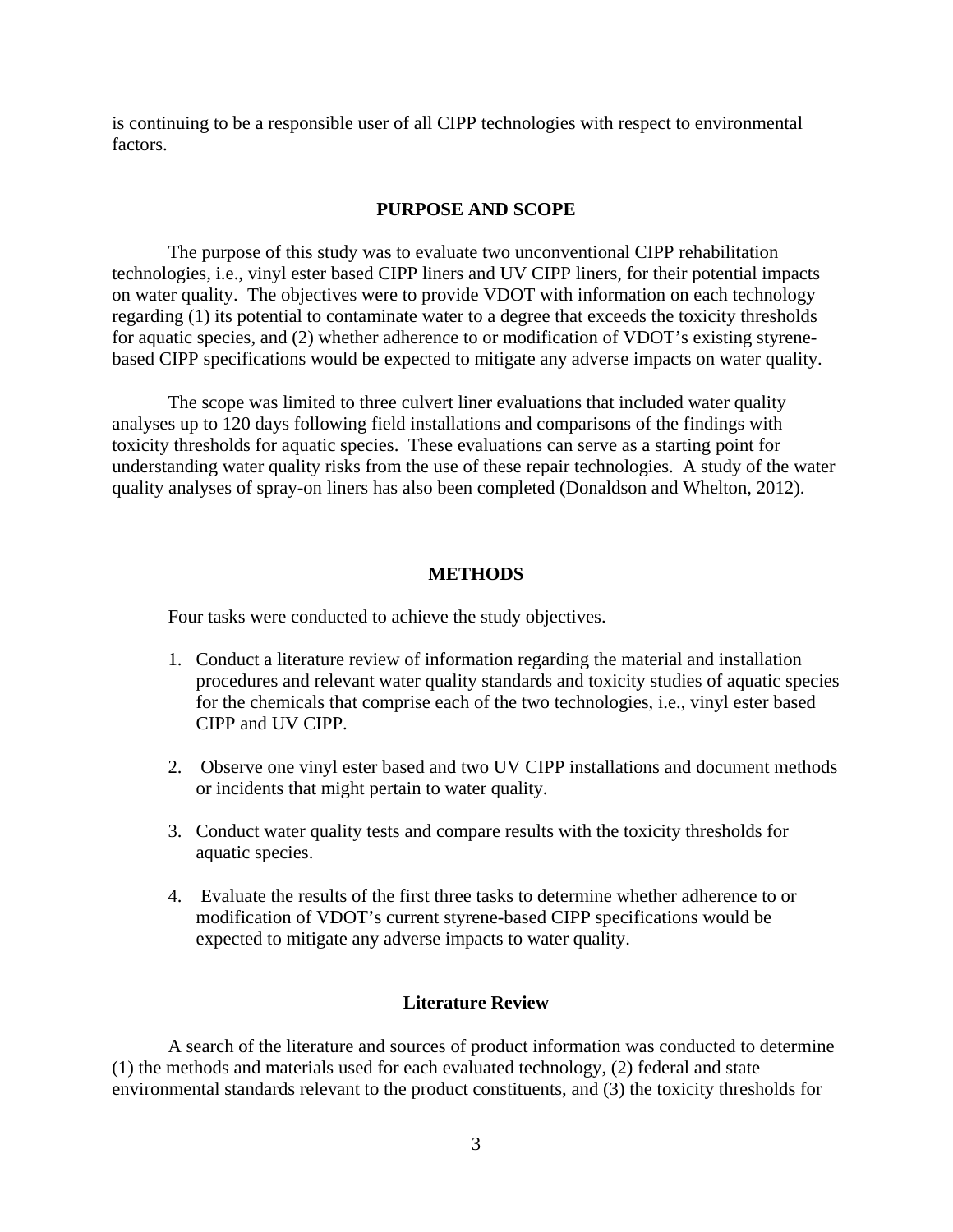is continuing to be a responsible user of all CIPP technologies with respect to environmental factors.

## **PURPOSE AND SCOPE**

The purpose of this study was to evaluate two unconventional CIPP rehabilitation technologies, i.e., vinyl ester based CIPP liners and UV CIPP liners, for their potential impacts on water quality. The objectives were to provide VDOT with information on each technology regarding (1) its potential to contaminate water to a degree that exceeds the toxicity thresholds for aquatic species, and (2) whether adherence to or modification of VDOT's existing styrenebased CIPP specifications would be expected to mitigate any adverse impacts on water quality.

The scope was limited to three culvert liner evaluations that included water quality analyses up to 120 days following field installations and comparisons of the findings with toxicity thresholds for aquatic species. These evaluations can serve as a starting point for understanding water quality risks from the use of these repair technologies. A study of the water quality analyses of spray-on liners has also been completed (Donaldson and Whelton, 2012).

## **METHODS**

Four tasks were conducted to achieve the study objectives.

- 1. Conduct a literature review of information regarding the material and installation procedures and relevant water quality standards and toxicity studies of aquatic species for the chemicals that comprise each of the two technologies, i.e., vinyl ester based CIPP and UV CIPP.
- 2. Observe one vinyl ester based and two UV CIPP installations and document methods or incidents that might pertain to water quality.
- 3. Conduct water quality tests and compare results with the toxicity thresholds for aquatic species.
- 4. Evaluate the results of the first three tasks to determine whether adherence to or modification of VDOT's current styrene-based CIPP specifications would be expected to mitigate any adverse impacts to water quality.

## **Literature Review**

A search of the literature and sources of product information was conducted to determine (1) the methods and materials used for each evaluated technology, (2) federal and state environmental standards relevant to the product constituents, and (3) the toxicity thresholds for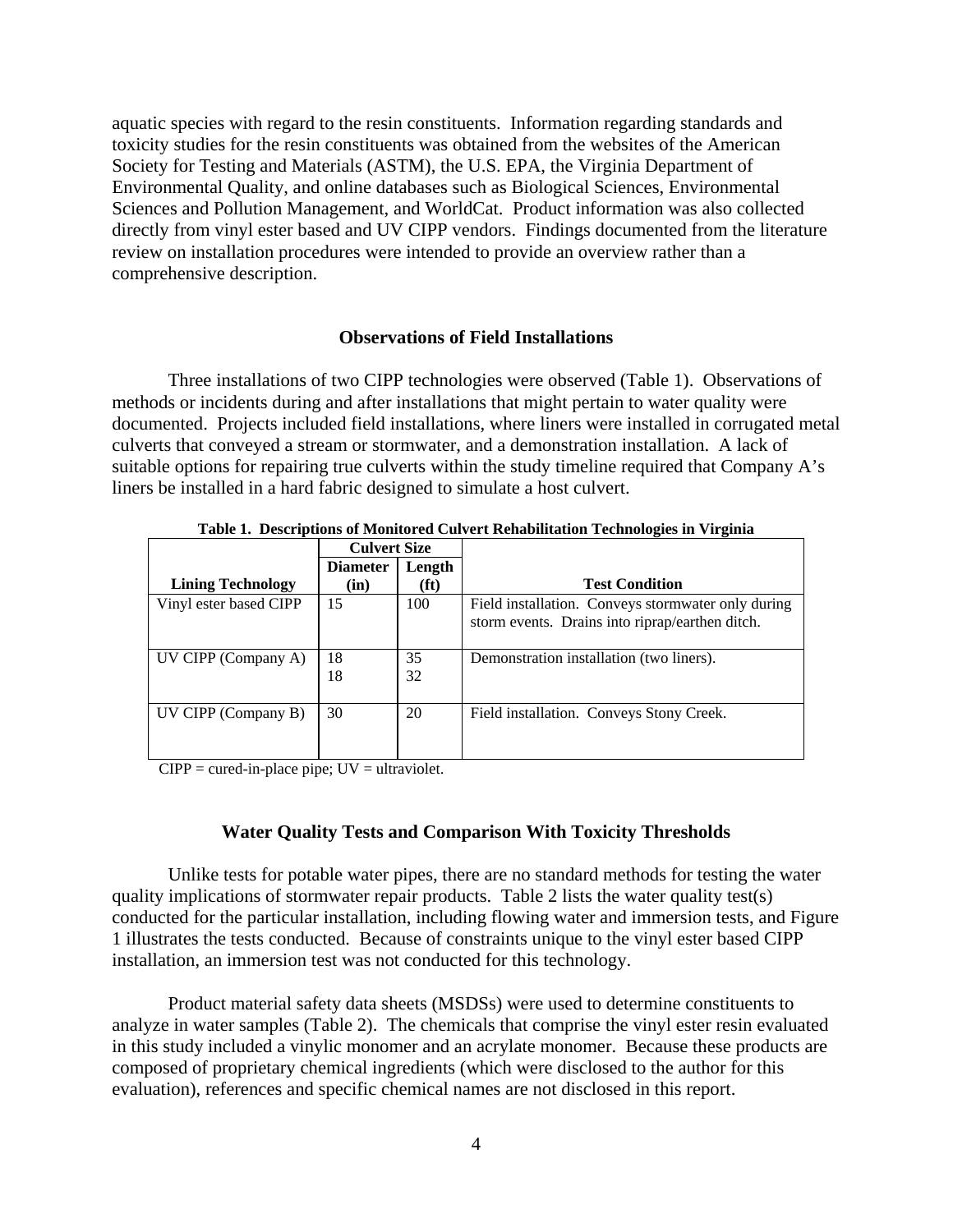aquatic species with regard to the resin constituents. Information regarding standards and toxicity studies for the resin constituents was obtained from the websites of the American Society for Testing and Materials (ASTM), the U.S. EPA, the Virginia Department of Environmental Quality, and online databases such as Biological Sciences, Environmental Sciences and Pollution Management, and WorldCat. Product information was also collected directly from vinyl ester based and UV CIPP vendors. Findings documented from the literature review on installation procedures were intended to provide an overview rather than a comprehensive description.

## **Observations of Field Installations**

Three installations of two CIPP technologies were observed (Table 1). Observations of methods or incidents during and after installations that might pertain to water quality were documented. Projects included field installations, where liners were installed in corrugated metal culverts that conveyed a stream or stormwater, and a demonstration installation. A lack of suitable options for repairing true culverts within the study timeline required that Company A's liners be installed in a hard fabric designed to simulate a host culvert.

|                          | <b>Culvert Size</b> |                   |                                                    |
|--------------------------|---------------------|-------------------|----------------------------------------------------|
|                          | <b>Diameter</b>     | Length            |                                                    |
| <b>Lining Technology</b> | (in)                | (f <sup>t</sup> ) | <b>Test Condition</b>                              |
| Vinyl ester based CIPP   | 15                  | 100               | Field installation. Conveys stormwater only during |
|                          |                     |                   | storm events. Drains into riprap/earthen ditch.    |
|                          |                     |                   |                                                    |
| UV CIPP (Company A)      | 18                  | 35                | Demonstration installation (two liners).           |
|                          | 18                  | 32                |                                                    |
|                          |                     |                   |                                                    |
| UV CIPP (Company B)      | 30                  | 20                | Field installation. Conveys Stony Creek.           |
|                          |                     |                   |                                                    |
|                          |                     |                   |                                                    |

**Table 1. Descriptions of Monitored Culvert Rehabilitation Technologies in Virginia** 

 $CIPP = \text{cured-in-place pipe}$ ;  $UV = \text{ultraviolet.}$ 

# **Water Quality Tests and Comparison With Toxicity Thresholds**

Unlike tests for potable water pipes, there are no standard methods for testing the water quality implications of stormwater repair products. Table 2 lists the water quality test(s) conducted for the particular installation, including flowing water and immersion tests, and Figure 1 illustrates the tests conducted. Because of constraints unique to the vinyl ester based CIPP installation, an immersion test was not conducted for this technology.

Product material safety data sheets (MSDSs) were used to determine constituents to analyze in water samples (Table 2). The chemicals that comprise the vinyl ester resin evaluated in this study included a vinylic monomer and an acrylate monomer. Because these products are composed of proprietary chemical ingredients (which were disclosed to the author for this evaluation), references and specific chemical names are not disclosed in this report.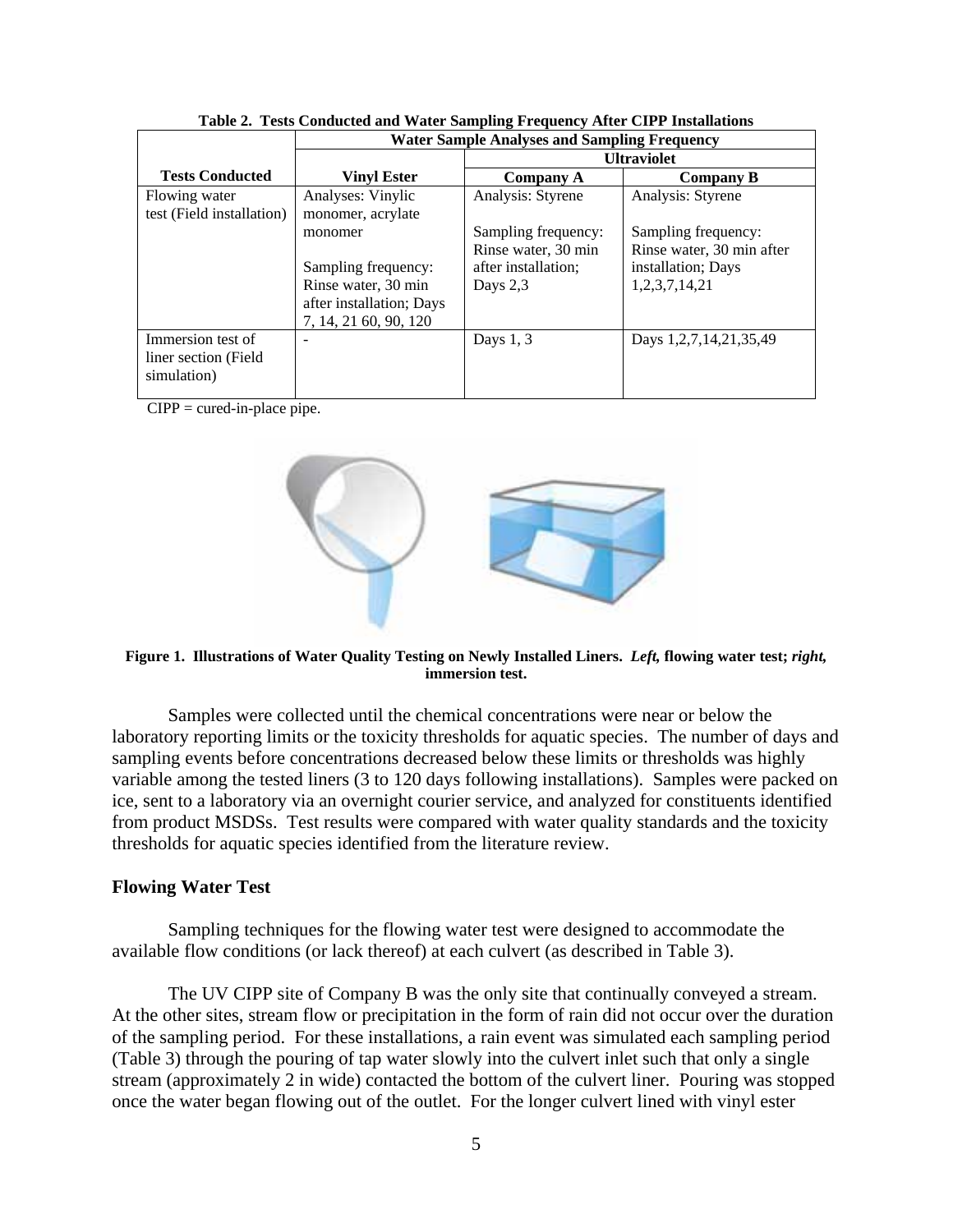|                           | <b>Water Sample Analyses and Sampling Frequency</b> |                     |                           |  |
|---------------------------|-----------------------------------------------------|---------------------|---------------------------|--|
|                           |                                                     | <b>Ultraviolet</b>  |                           |  |
| <b>Tests Conducted</b>    | <b>Vinyl Ester</b>                                  | <b>Company A</b>    | Company B                 |  |
| Flowing water             | Analyses: Vinylic                                   | Analysis: Styrene   | Analysis: Styrene         |  |
| test (Field installation) | monomer, acrylate                                   |                     |                           |  |
|                           | monomer                                             | Sampling frequency: | Sampling frequency:       |  |
|                           |                                                     | Rinse water, 30 min | Rinse water, 30 min after |  |
|                           | Sampling frequency:                                 | after installation: | installation; Days        |  |
|                           | Rinse water, 30 min                                 | Days $2,3$          | 1,2,3,7,14,21             |  |
|                           | after installation; Days                            |                     |                           |  |
|                           | 7, 14, 21 60, 90, 120                               |                     |                           |  |
| Immersion test of         |                                                     | Days $1, 3$         | Days 1,2,7,14,21,35,49    |  |
| liner section (Field)     |                                                     |                     |                           |  |
| simulation)               |                                                     |                     |                           |  |
|                           |                                                     |                     |                           |  |

**Table 2. Tests Conducted and Water Sampling Frequency After CIPP Installations** 

 $CIPP = \text{cured-in-place pipe.}$ 



**Figure 1. Illustrations of Water Quality Testing on Newly Installed Liners.** *Left,* **flowing water test;** *right,* **immersion test.** 

Samples were collected until the chemical concentrations were near or below the laboratory reporting limits or the toxicity thresholds for aquatic species. The number of days and sampling events before concentrations decreased below these limits or thresholds was highly variable among the tested liners (3 to 120 days following installations). Samples were packed on ice, sent to a laboratory via an overnight courier service, and analyzed for constituents identified from product MSDSs. Test results were compared with water quality standards and the toxicity thresholds for aquatic species identified from the literature review.

### **Flowing Water Test**

Sampling techniques for the flowing water test were designed to accommodate the available flow conditions (or lack thereof) at each culvert (as described in Table 3).

The UV CIPP site of Company B was the only site that continually conveyed a stream. At the other sites, stream flow or precipitation in the form of rain did not occur over the duration of the sampling period. For these installations, a rain event was simulated each sampling period (Table 3) through the pouring of tap water slowly into the culvert inlet such that only a single stream (approximately 2 in wide) contacted the bottom of the culvert liner. Pouring was stopped once the water began flowing out of the outlet. For the longer culvert lined with vinyl ester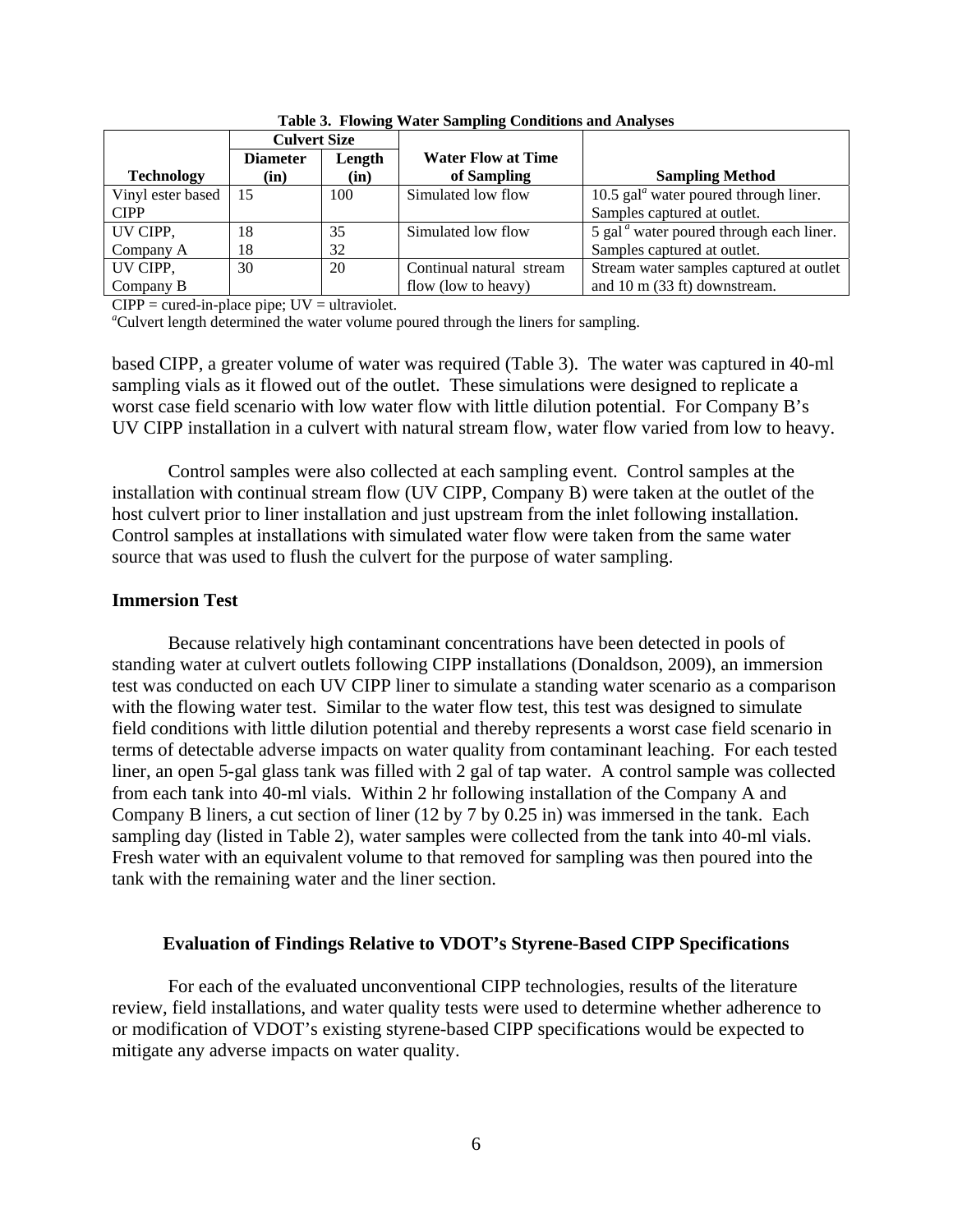|                   | <b>Culvert Size</b> |        |                           |                                                                  |
|-------------------|---------------------|--------|---------------------------|------------------------------------------------------------------|
|                   | <b>Diameter</b>     | Length | <b>Water Flow at Time</b> |                                                                  |
| <b>Technology</b> | (in)                | (in)   | of Sampling               | <b>Sampling Method</b>                                           |
| Vinyl ester based | 15                  | 100    | Simulated low flow        | 10.5 gal <sup><math>a</math></sup> water poured through liner.   |
| <b>CIPP</b>       |                     |        |                           | Samples captured at outlet.                                      |
| UV CIPP,          | 18                  | 35     | Simulated low flow        | 5 gal <sup><math>a</math></sup> water poured through each liner. |
| Company A         | 18                  | 32     |                           | Samples captured at outlet.                                      |
| UV CIPP,          | 30                  | 20     | Continual natural stream  | Stream water samples captured at outlet                          |
| Company B         |                     |        | flow (low to heavy)       | and $10 \text{ m}$ (33 ft) downstream.                           |

**Table 3. Flowing Water Sampling Conditions and Analyses** 

 $CIPP = \text{cured-in-place pipe}$ ;  $UV = \text{ultraviolet.}$ 

<sup>a</sup>Culvert length determined the water volume poured through the liners for sampling.

based CIPP, a greater volume of water was required (Table 3). The water was captured in 40-ml sampling vials as it flowed out of the outlet. These simulations were designed to replicate a worst case field scenario with low water flow with little dilution potential. For Company B's UV CIPP installation in a culvert with natural stream flow, water flow varied from low to heavy.

Control samples were also collected at each sampling event. Control samples at the installation with continual stream flow (UV CIPP, Company B) were taken at the outlet of the host culvert prior to liner installation and just upstream from the inlet following installation. Control samples at installations with simulated water flow were taken from the same water source that was used to flush the culvert for the purpose of water sampling.

### **Immersion Test**

Because relatively high contaminant concentrations have been detected in pools of standing water at culvert outlets following CIPP installations (Donaldson, 2009), an immersion test was conducted on each UV CIPP liner to simulate a standing water scenario as a comparison with the flowing water test. Similar to the water flow test, this test was designed to simulate field conditions with little dilution potential and thereby represents a worst case field scenario in terms of detectable adverse impacts on water quality from contaminant leaching. For each tested liner, an open 5-gal glass tank was filled with 2 gal of tap water. A control sample was collected from each tank into 40-ml vials. Within 2 hr following installation of the Company A and Company B liners, a cut section of liner (12 by 7 by 0.25 in) was immersed in the tank. Each sampling day (listed in Table 2), water samples were collected from the tank into 40-ml vials. Fresh water with an equivalent volume to that removed for sampling was then poured into the tank with the remaining water and the liner section.

#### **Evaluation of Findings Relative to VDOT's Styrene-Based CIPP Specifications**

For each of the evaluated unconventional CIPP technologies, results of the literature review, field installations, and water quality tests were used to determine whether adherence to or modification of VDOT's existing styrene-based CIPP specifications would be expected to mitigate any adverse impacts on water quality.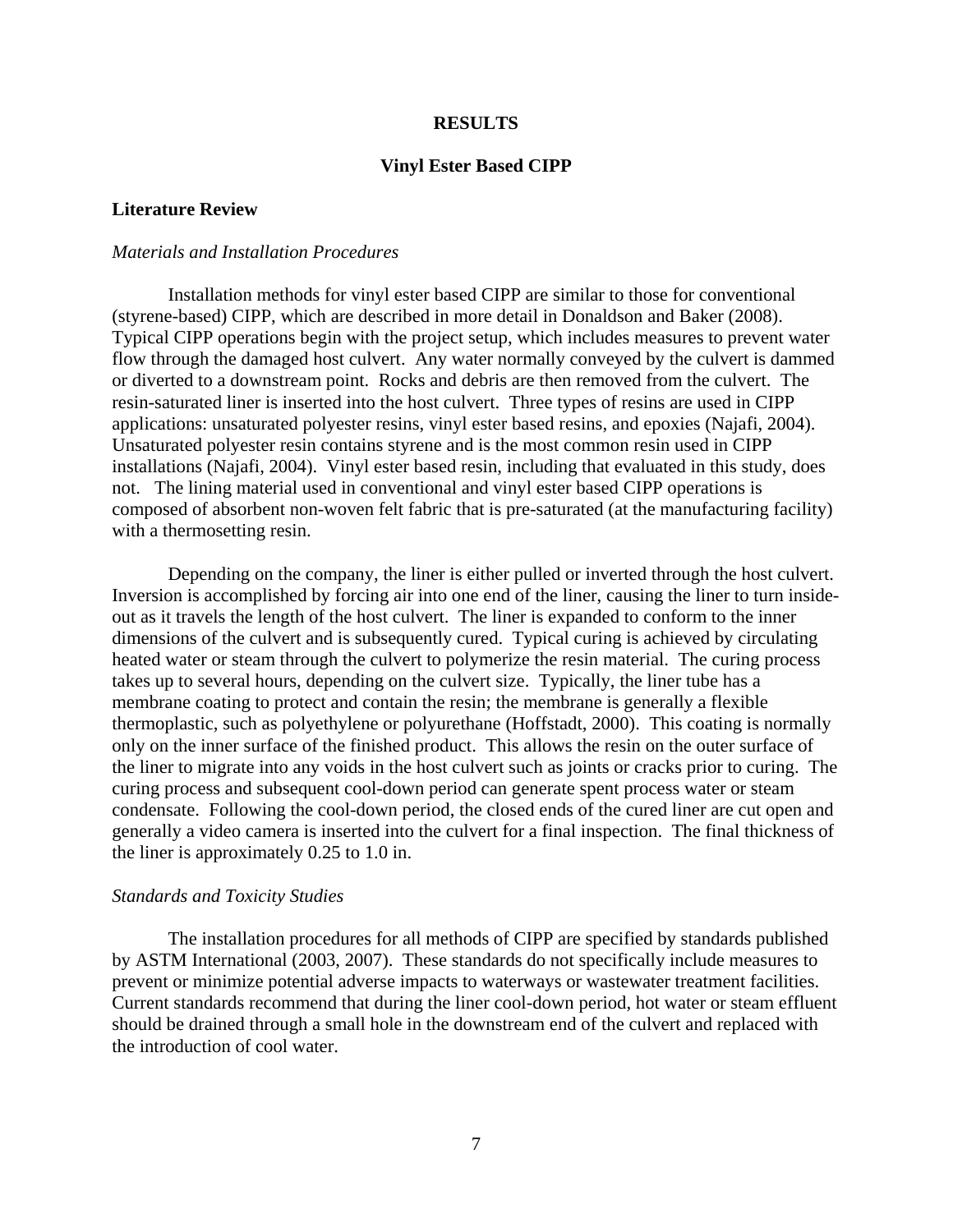### **RESULTS**

### **Vinyl Ester Based CIPP**

## **Literature Review**

### *Materials and Installation Procedures*

Installation methods for vinyl ester based CIPP are similar to those for conventional (styrene-based) CIPP, which are described in more detail in Donaldson and Baker (2008). Typical CIPP operations begin with the project setup, which includes measures to prevent water flow through the damaged host culvert. Any water normally conveyed by the culvert is dammed or diverted to a downstream point. Rocks and debris are then removed from the culvert. The resin-saturated liner is inserted into the host culvert. Three types of resins are used in CIPP applications: unsaturated polyester resins, vinyl ester based resins, and epoxies (Najafi, 2004). Unsaturated polyester resin contains styrene and is the most common resin used in CIPP installations (Najafi, 2004). Vinyl ester based resin, including that evaluated in this study, does not. The lining material used in conventional and vinyl ester based CIPP operations is composed of absorbent non-woven felt fabric that is pre-saturated (at the manufacturing facility) with a thermosetting resin.

Depending on the company, the liner is either pulled or inverted through the host culvert. Inversion is accomplished by forcing air into one end of the liner, causing the liner to turn insideout as it travels the length of the host culvert. The liner is expanded to conform to the inner dimensions of the culvert and is subsequently cured. Typical curing is achieved by circulating heated water or steam through the culvert to polymerize the resin material. The curing process takes up to several hours, depending on the culvert size. Typically, the liner tube has a membrane coating to protect and contain the resin; the membrane is generally a flexible thermoplastic, such as polyethylene or polyurethane (Hoffstadt, 2000). This coating is normally only on the inner surface of the finished product. This allows the resin on the outer surface of the liner to migrate into any voids in the host culvert such as joints or cracks prior to curing. The curing process and subsequent cool-down period can generate spent process water or steam condensate. Following the cool-down period, the closed ends of the cured liner are cut open and generally a video camera is inserted into the culvert for a final inspection. The final thickness of the liner is approximately 0.25 to 1.0 in.

#### *Standards and Toxicity Studies*

The installation procedures for all methods of CIPP are specified by standards published by ASTM International (2003, 2007). These standards do not specifically include measures to prevent or minimize potential adverse impacts to waterways or wastewater treatment facilities. Current standards recommend that during the liner cool-down period, hot water or steam effluent should be drained through a small hole in the downstream end of the culvert and replaced with the introduction of cool water.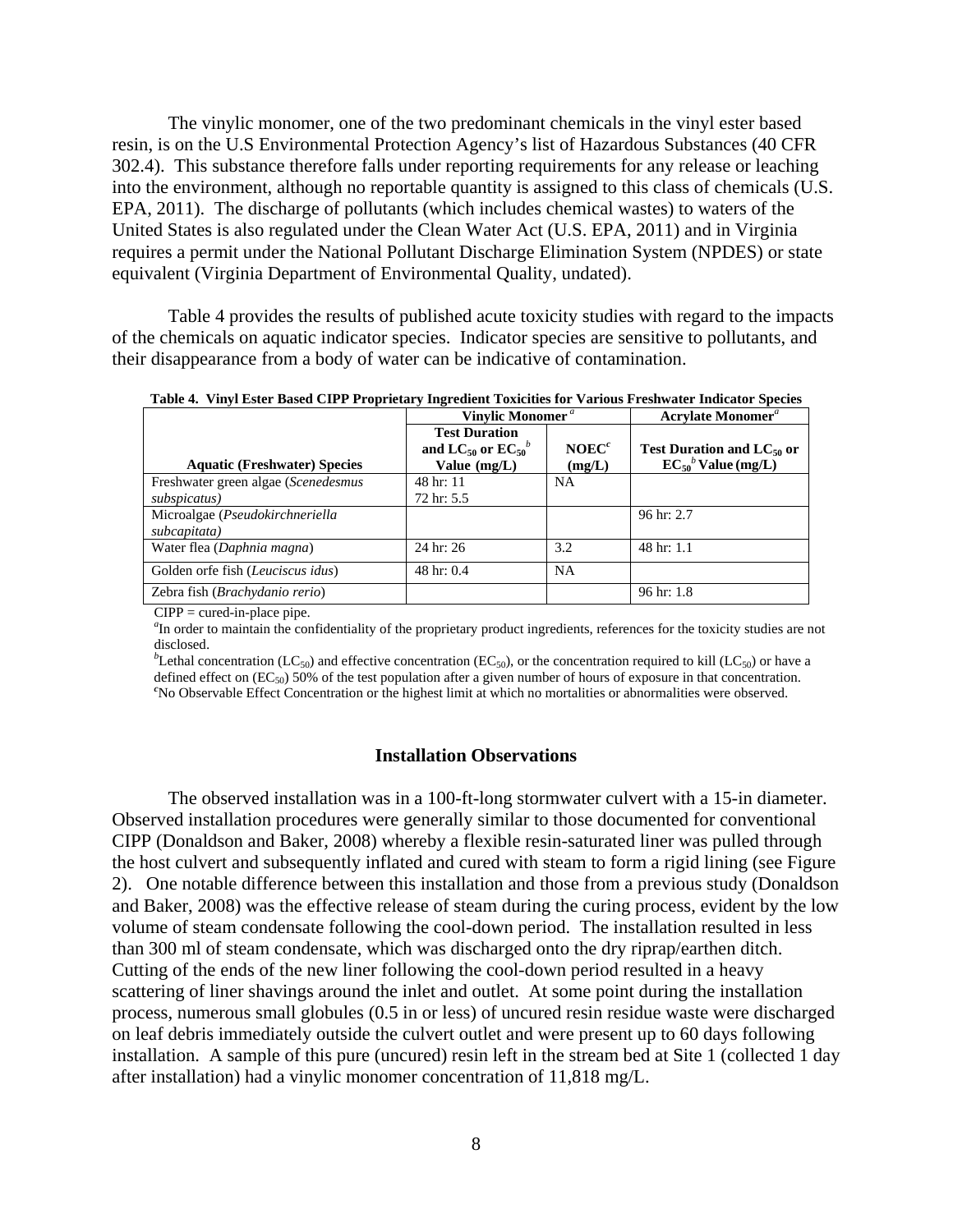The vinylic monomer, one of the two predominant chemicals in the vinyl ester based resin, is on the U.S Environmental Protection Agency's list of Hazardous Substances (40 CFR 302.4). This substance therefore falls under reporting requirements for any release or leaching into the environment, although no reportable quantity is assigned to this class of chemicals (U.S. EPA, 2011). The discharge of pollutants (which includes chemical wastes) to waters of the United States is also regulated under the Clean Water Act (U.S. EPA, 2011) and in Virginia requires a permit under the National Pollutant Discharge Elimination System (NPDES) or state equivalent (Virginia Department of Environmental Quality, undated).

 Table 4 provides the results of published acute toxicity studies with regard to the impacts of the chemicals on aquatic indicator species. Indicator species are sensitive to pollutants, and their disappearance from a body of water can be indicative of contamination.

| TROID II THIJI LORU DROVG CH'T TTOPIRAMI J'INGRAMIN' TOMCHRO IOI TRIDGO TROID HARR MURANOI OPRENO | Vinylic Monomer <sup>a</sup>                                                |                             | <b>Acrylate Monomer<sup>a</sup></b>                                     |
|---------------------------------------------------------------------------------------------------|-----------------------------------------------------------------------------|-----------------------------|-------------------------------------------------------------------------|
| <b>Aquatic (Freshwater) Species</b>                                                               | <b>Test Duration</b><br>and LC <sub>50</sub> or $EC_{50}^b$<br>Value (mg/L) | NOEC <sup>c</sup><br>(mg/L) | Test Duration and $LC_{50}$ or<br>$EC_{50}^{\phantom{5}b}$ Value (mg/L) |
| Freshwater green algae (Scenedesmus                                                               | 48 hr: 11                                                                   | <b>NA</b>                   |                                                                         |
| subspicatus)                                                                                      | 72 hr: 5.5                                                                  |                             |                                                                         |
| Microalgae (Pseudokirchneriella<br>subcapitata)                                                   |                                                                             |                             | 96 hr: 2.7                                                              |
| Water flea (Daphnia magna)                                                                        | 24 hr: 26                                                                   | 3.2                         | 48 hr: 1.1                                                              |
| Golden orfe fish (Leuciscus idus)                                                                 | 48 hr: 0.4                                                                  | <b>NA</b>                   |                                                                         |
| Zebra fish ( <i>Brachydanio rerio</i> )                                                           |                                                                             |                             | $96 \text{ hr}$ : 1.8                                                   |

**Table 4. Vinyl Ester Based CIPP Proprietary Ingredient Toxicities for Various Freshwater Indicator Species** 

 $CIPP = \text{cured-in-place pipe.}$ 

*a* In order to maintain the confidentiality of the proprietary product ingredients, references for the toxicity studies are not disclosed.

<sup>*b*</sup>Lethal concentration (LC<sub>50</sub>) and effective concentration (EC<sub>50</sub>), or the concentration required to kill (LC<sub>50</sub>) or have a defined effect on  $(EC_{50})$  50% of the test population after a given number of hours of exposure in that concentration. No Observable Effect Concentration or the highest limit at which no mortalities or abnormalities were observed.

### **Installation Observations**

The observed installation was in a 100-ft-long stormwater culvert with a 15-in diameter. Observed installation procedures were generally similar to those documented for conventional CIPP (Donaldson and Baker, 2008) whereby a flexible resin-saturated liner was pulled through the host culvert and subsequently inflated and cured with steam to form a rigid lining (see Figure 2). One notable difference between this installation and those from a previous study (Donaldson and Baker, 2008) was the effective release of steam during the curing process, evident by the low volume of steam condensate following the cool-down period. The installation resulted in less than 300 ml of steam condensate, which was discharged onto the dry riprap/earthen ditch. Cutting of the ends of the new liner following the cool-down period resulted in a heavy scattering of liner shavings around the inlet and outlet. At some point during the installation process, numerous small globules (0.5 in or less) of uncured resin residue waste were discharged on leaf debris immediately outside the culvert outlet and were present up to 60 days following installation. A sample of this pure (uncured) resin left in the stream bed at Site 1 (collected 1 day after installation) had a vinylic monomer concentration of 11,818 mg/L.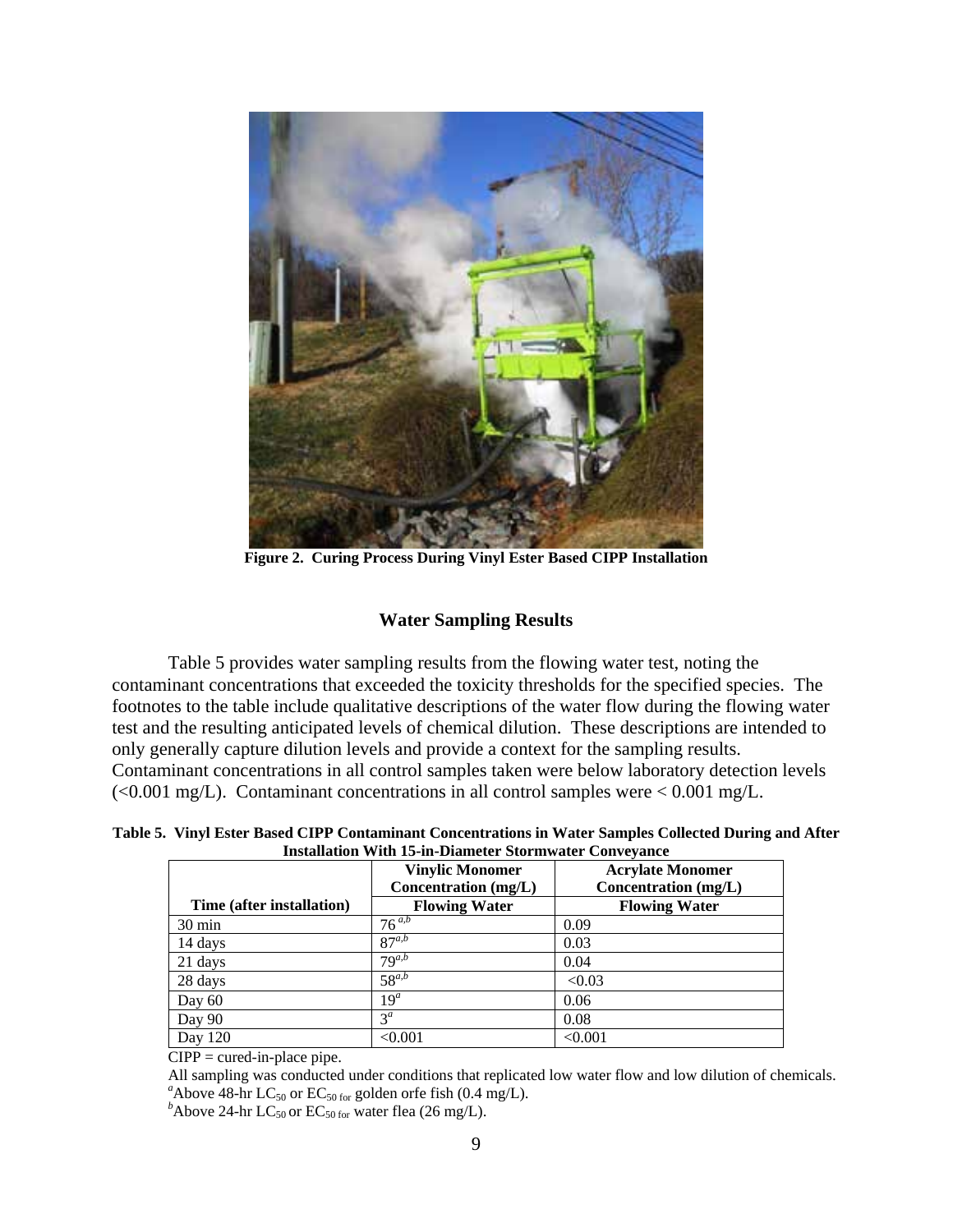

**Figure 2. Curing Process During Vinyl Ester Based CIPP Installation** 

## **Water Sampling Results**

Table 5 provides water sampling results from the flowing water test, noting the contaminant concentrations that exceeded the toxicity thresholds for the specified species. The footnotes to the table include qualitative descriptions of the water flow during the flowing water test and the resulting anticipated levels of chemical dilution. These descriptions are intended to only generally capture dilution levels and provide a context for the sampling results. Contaminant concentrations in all control samples taken were below laboratory detection levels  $\langle$  <0.001 mg/L). Contaminant concentrations in all control samples were < 0.001 mg/L.

**Table 5. Vinyl Ester Based CIPP Contaminant Concentrations in Water Samples Collected During and After Installation With 15-in-Diameter Stormwater Conveyance** 

|                           | <b>Vinylic Monomer</b><br>Concentration (mg/L) | <b>Acrylate Monomer</b><br>Concentration (mg/L) |
|---------------------------|------------------------------------------------|-------------------------------------------------|
| Time (after installation) | <b>Flowing Water</b>                           | <b>Flowing Water</b>                            |
| $30 \text{ min}$          | $76^{a,b}$                                     | 0.09                                            |
| 14 days                   | $87^{a,b}$                                     | 0.03                                            |
| 21 days                   | $79^{a,b}$                                     | 0.04                                            |
| 28 days                   | $58^{a,b}$                                     | < 0.03                                          |
| Day $60$                  | $19^a$                                         | 0.06                                            |
| Day 90                    | $3^a$                                          | 0.08                                            |
| Day 120                   | < 0.001                                        | < 0.001                                         |

 $CIPP = \text{cured-in-place pipe.}$ 

All sampling was conducted under conditions that replicated low water flow and low dilution of chemicals. <sup>a</sup> Above 48-hr LC<sub>50</sub> or EC<sub>50 for</sub> golden orfe fish  $(0.4 \text{ mg/L})$ .

<sup>b</sup>Above 24-hr LC<sub>50</sub> or EC<sub>50 for</sub> water flea (26 mg/L).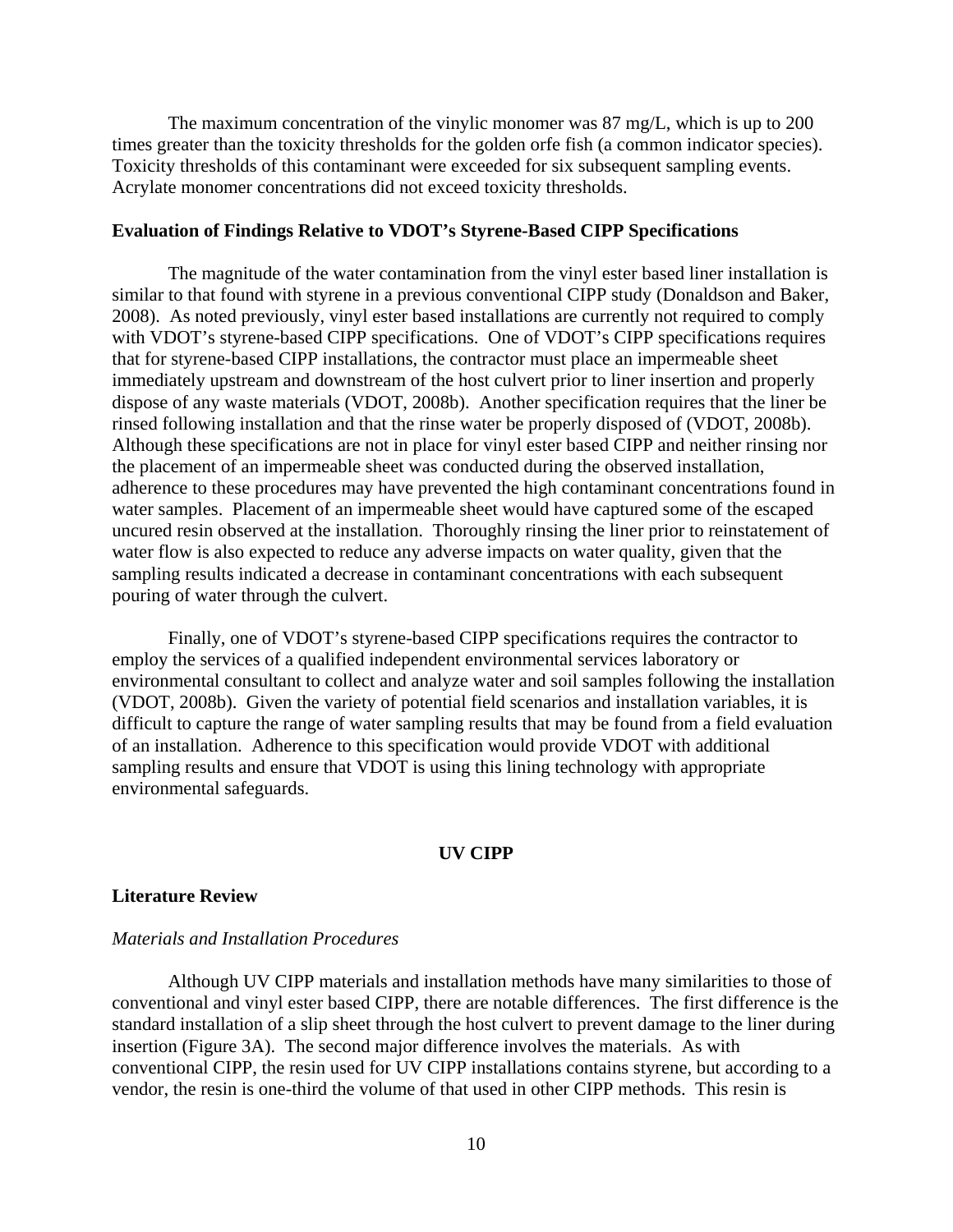The maximum concentration of the vinylic monomer was 87 mg/L, which is up to 200 times greater than the toxicity thresholds for the golden orfe fish (a common indicator species). Toxicity thresholds of this contaminant were exceeded for six subsequent sampling events. Acrylate monomer concentrations did not exceed toxicity thresholds.

## **Evaluation of Findings Relative to VDOT's Styrene-Based CIPP Specifications**

The magnitude of the water contamination from the vinyl ester based liner installation is similar to that found with styrene in a previous conventional CIPP study (Donaldson and Baker, 2008). As noted previously, vinyl ester based installations are currently not required to comply with VDOT's styrene-based CIPP specifications. One of VDOT's CIPP specifications requires that for styrene-based CIPP installations, the contractor must place an impermeable sheet immediately upstream and downstream of the host culvert prior to liner insertion and properly dispose of any waste materials (VDOT, 2008b). Another specification requires that the liner be rinsed following installation and that the rinse water be properly disposed of (VDOT, 2008b). Although these specifications are not in place for vinyl ester based CIPP and neither rinsing nor the placement of an impermeable sheet was conducted during the observed installation, adherence to these procedures may have prevented the high contaminant concentrations found in water samples. Placement of an impermeable sheet would have captured some of the escaped uncured resin observed at the installation. Thoroughly rinsing the liner prior to reinstatement of water flow is also expected to reduce any adverse impacts on water quality, given that the sampling results indicated a decrease in contaminant concentrations with each subsequent pouring of water through the culvert.

Finally, one of VDOT's styrene-based CIPP specifications requires the contractor to employ the services of a qualified independent environmental services laboratory or environmental consultant to collect and analyze water and soil samples following the installation (VDOT, 2008b). Given the variety of potential field scenarios and installation variables, it is difficult to capture the range of water sampling results that may be found from a field evaluation of an installation. Adherence to this specification would provide VDOT with additional sampling results and ensure that VDOT is using this lining technology with appropriate environmental safeguards.

## **UV CIPP**

### **Literature Review**

## *Materials and Installation Procedures*

Although UV CIPP materials and installation methods have many similarities to those of conventional and vinyl ester based CIPP, there are notable differences. The first difference is the standard installation of a slip sheet through the host culvert to prevent damage to the liner during insertion (Figure 3A). The second major difference involves the materials. As with conventional CIPP, the resin used for UV CIPP installations contains styrene, but according to a vendor, the resin is one-third the volume of that used in other CIPP methods. This resin is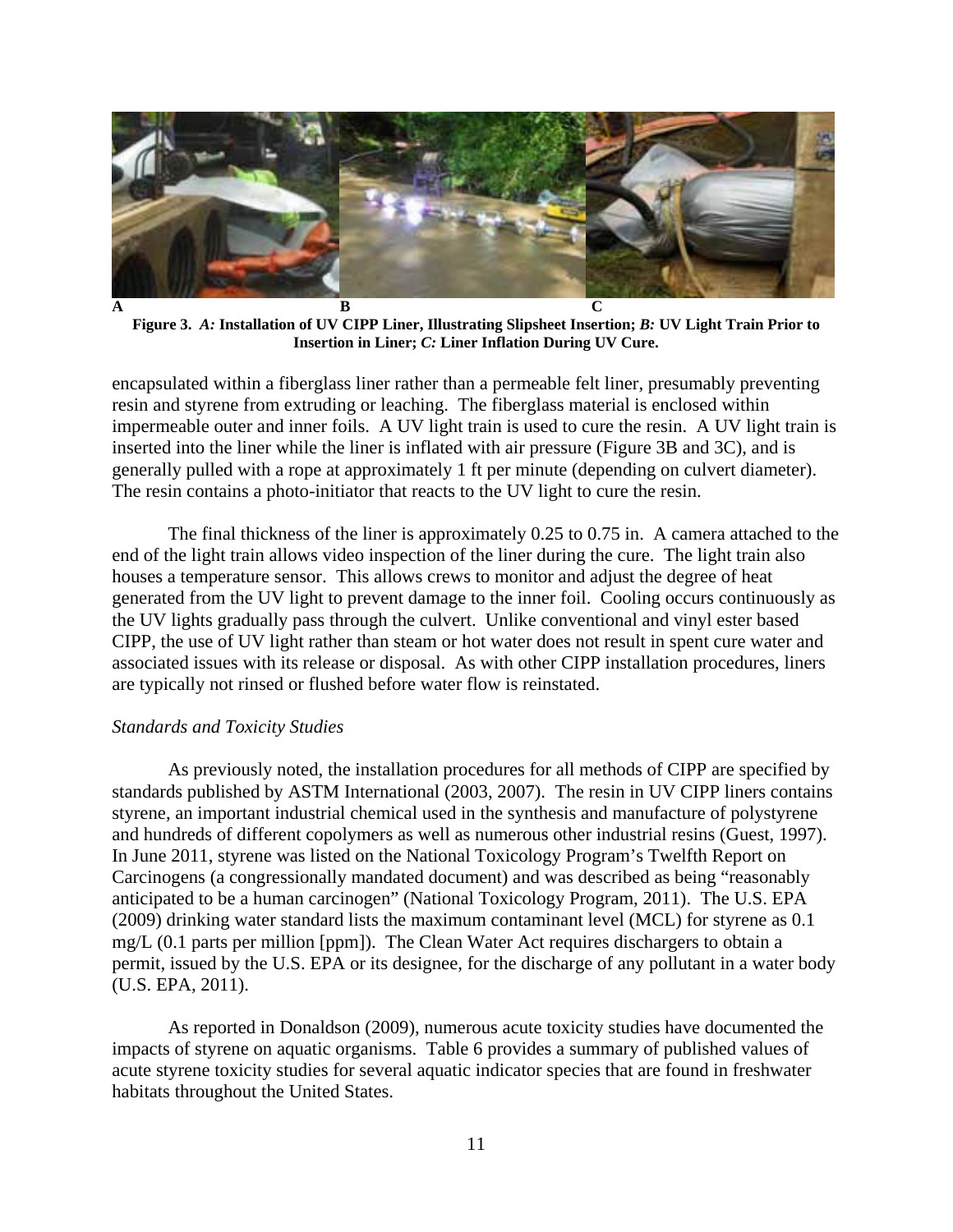

**Figure 3.** *A:* **Installation of UV CIPP Liner, Illustrating Slipsheet Insertion;** *B:* **UV Light Train Prior to Insertion in Liner;** *C:* **Liner Inflation During UV Cure.** 

encapsulated within a fiberglass liner rather than a permeable felt liner, presumably preventing resin and styrene from extruding or leaching. The fiberglass material is enclosed within impermeable outer and inner foils. A UV light train is used to cure the resin. A UV light train is inserted into the liner while the liner is inflated with air pressure (Figure 3B and 3C), and is generally pulled with a rope at approximately 1 ft per minute (depending on culvert diameter). The resin contains a photo-initiator that reacts to the UV light to cure the resin.

The final thickness of the liner is approximately 0.25 to 0.75 in. A camera attached to the end of the light train allows video inspection of the liner during the cure. The light train also houses a temperature sensor. This allows crews to monitor and adjust the degree of heat generated from the UV light to prevent damage to the inner foil. Cooling occurs continuously as the UV lights gradually pass through the culvert. Unlike conventional and vinyl ester based CIPP, the use of UV light rather than steam or hot water does not result in spent cure water and associated issues with its release or disposal. As with other CIPP installation procedures, liners are typically not rinsed or flushed before water flow is reinstated.

## *Standards and Toxicity Studies*

As previously noted, the installation procedures for all methods of CIPP are specified by standards published by ASTM International (2003, 2007). The resin in UV CIPP liners contains styrene, an important industrial chemical used in the synthesis and manufacture of polystyrene and hundreds of different copolymers as well as numerous other industrial resins (Guest, 1997). In June 2011, styrene was listed on the National Toxicology Program's Twelfth Report on Carcinogens (a congressionally mandated document) and was described as being "reasonably anticipated to be a human carcinogen" (National Toxicology Program, 2011). The U.S. EPA (2009) drinking water standard lists the maximum contaminant level (MCL) for styrene as 0.1 mg/L (0.1 parts per million [ppm]). The Clean Water Act requires dischargers to obtain a permit, issued by the U.S. EPA or its designee, for the discharge of any pollutant in a water body (U.S. EPA, 2011).

As reported in Donaldson (2009), numerous acute toxicity studies have documented the impacts of styrene on aquatic organisms. Table 6 provides a summary of published values of acute styrene toxicity studies for several aquatic indicator species that are found in freshwater habitats throughout the United States.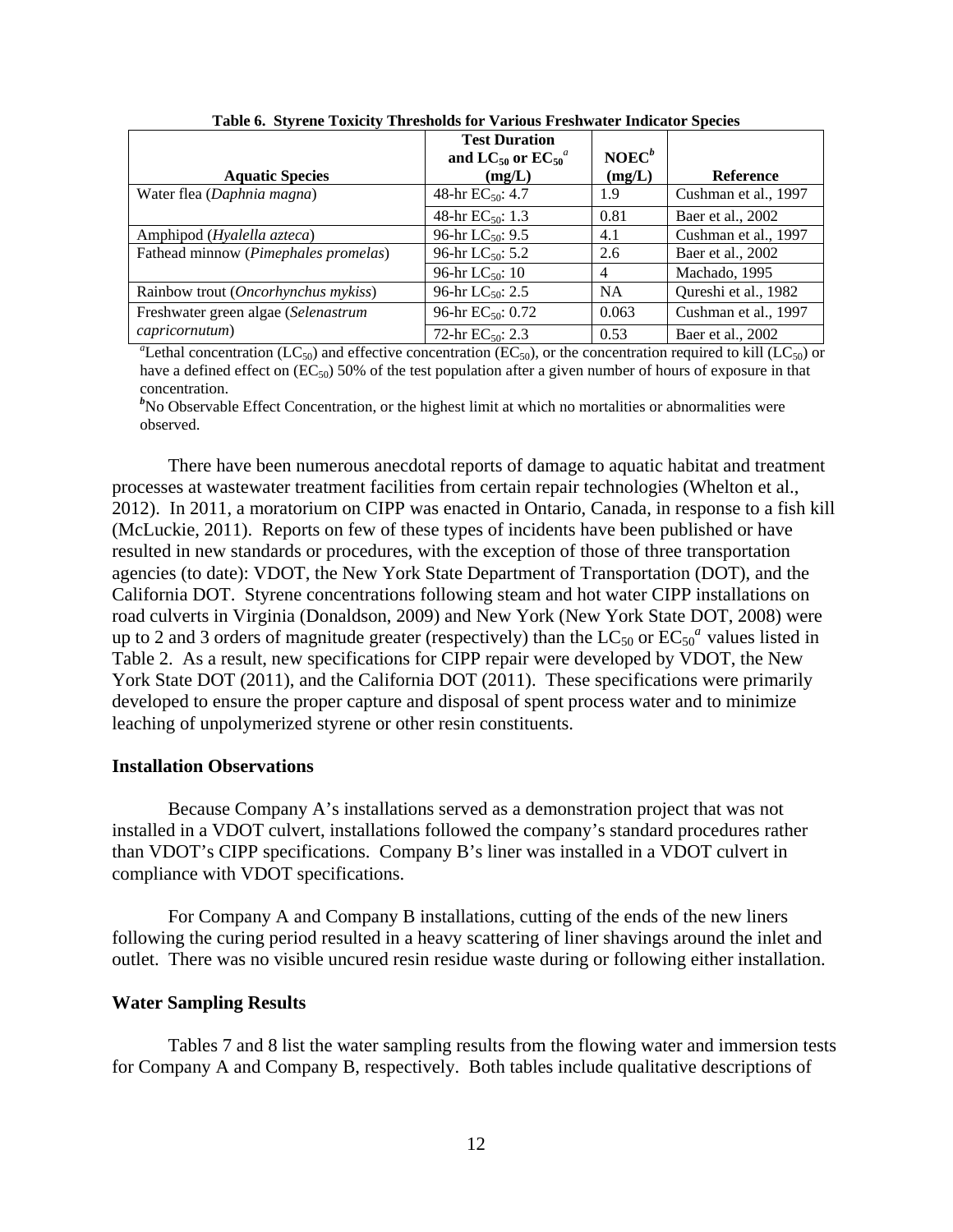|                                                                                                                                                         | <b>Test Duration</b><br>and LC <sub>50</sub> or $EC_{50}^a$ | $NOEC^b$       |                      |  |  |
|---------------------------------------------------------------------------------------------------------------------------------------------------------|-------------------------------------------------------------|----------------|----------------------|--|--|
| <b>Aquatic Species</b>                                                                                                                                  | (mg/L)                                                      | (mg/L)         | <b>Reference</b>     |  |  |
| Water flea (Daphnia magna)                                                                                                                              | 48-hr $EC_{50}$ : 4.7                                       | 1.9            | Cushman et al., 1997 |  |  |
|                                                                                                                                                         | 48-hr $EC_{50}$ : 1.3                                       | 0.81           | Baer et al., 2002    |  |  |
| Amphipod ( <i>Hyalella azteca</i> )                                                                                                                     | 96-hr LC <sub>50</sub> : 9.5                                | 4.1            | Cushman et al., 1997 |  |  |
| Fathead minnow (Pimephales promelas)                                                                                                                    | 96-hr $LC_{50}$ : 5.2                                       | 2.6            | Baer et al., 2002    |  |  |
|                                                                                                                                                         | 96-hr $LC_{50}$ : 10                                        | $\overline{4}$ | Machado, 1995        |  |  |
| Rainbow trout (Oncorhynchus mykiss)                                                                                                                     | 96-hr $LC_{50}$ : 2.5                                       | <b>NA</b>      | Qureshi et al., 1982 |  |  |
| Freshwater green algae (Selenastrum                                                                                                                     | 96-hr $EC_{50}$ : 0.72                                      | 0.063          | Cushman et al., 1997 |  |  |
| capricornutum)                                                                                                                                          | 72-hr $EC_{50}$ : 2.3                                       | 0.53           | Baer et al., 2002    |  |  |
| "Lethal concentration (LC <sub>50</sub> ) and effective concentration (EC <sub>50</sub> ), or the concentration required to kill (LC <sub>50</sub> ) or |                                                             |                |                      |  |  |

**Table 6. Styrene Toxicity Thresholds for Various Freshwater Indicator Species** 

have a defined effect on  $(EC_{50})$  50% of the test population after a given number of hours of exposure in that concentration.

<sup>b</sup>No Observable Effect Concentration, or the highest limit at which no mortalities or abnormalities were observed.

There have been numerous anecdotal reports of damage to aquatic habitat and treatment processes at wastewater treatment facilities from certain repair technologies (Whelton et al., 2012). In 2011, a moratorium on CIPP was enacted in Ontario, Canada, in response to a fish kill (McLuckie, 2011). Reports on few of these types of incidents have been published or have resulted in new standards or procedures, with the exception of those of three transportation agencies (to date): VDOT, the New York State Department of Transportation (DOT), and the California DOT. Styrene concentrations following steam and hot water CIPP installations on road culverts in Virginia (Donaldson, 2009) and New York (New York State DOT, 2008) were up to 2 and 3 orders of magnitude greater (respectively) than the  $LC_{50}$  or  $EC_{50}^a$  values listed in Table 2. As a result, new specifications for CIPP repair were developed by VDOT, the New York State DOT (2011), and the California DOT (2011). These specifications were primarily developed to ensure the proper capture and disposal of spent process water and to minimize leaching of unpolymerized styrene or other resin constituents.

## **Installation Observations**

Because Company A's installations served as a demonstration project that was not installed in a VDOT culvert, installations followed the company's standard procedures rather than VDOT's CIPP specifications. Company B's liner was installed in a VDOT culvert in compliance with VDOT specifications.

For Company A and Company B installations, cutting of the ends of the new liners following the curing period resulted in a heavy scattering of liner shavings around the inlet and outlet. There was no visible uncured resin residue waste during or following either installation.

## **Water Sampling Results**

Tables 7 and 8 list the water sampling results from the flowing water and immersion tests for Company A and Company B, respectively. Both tables include qualitative descriptions of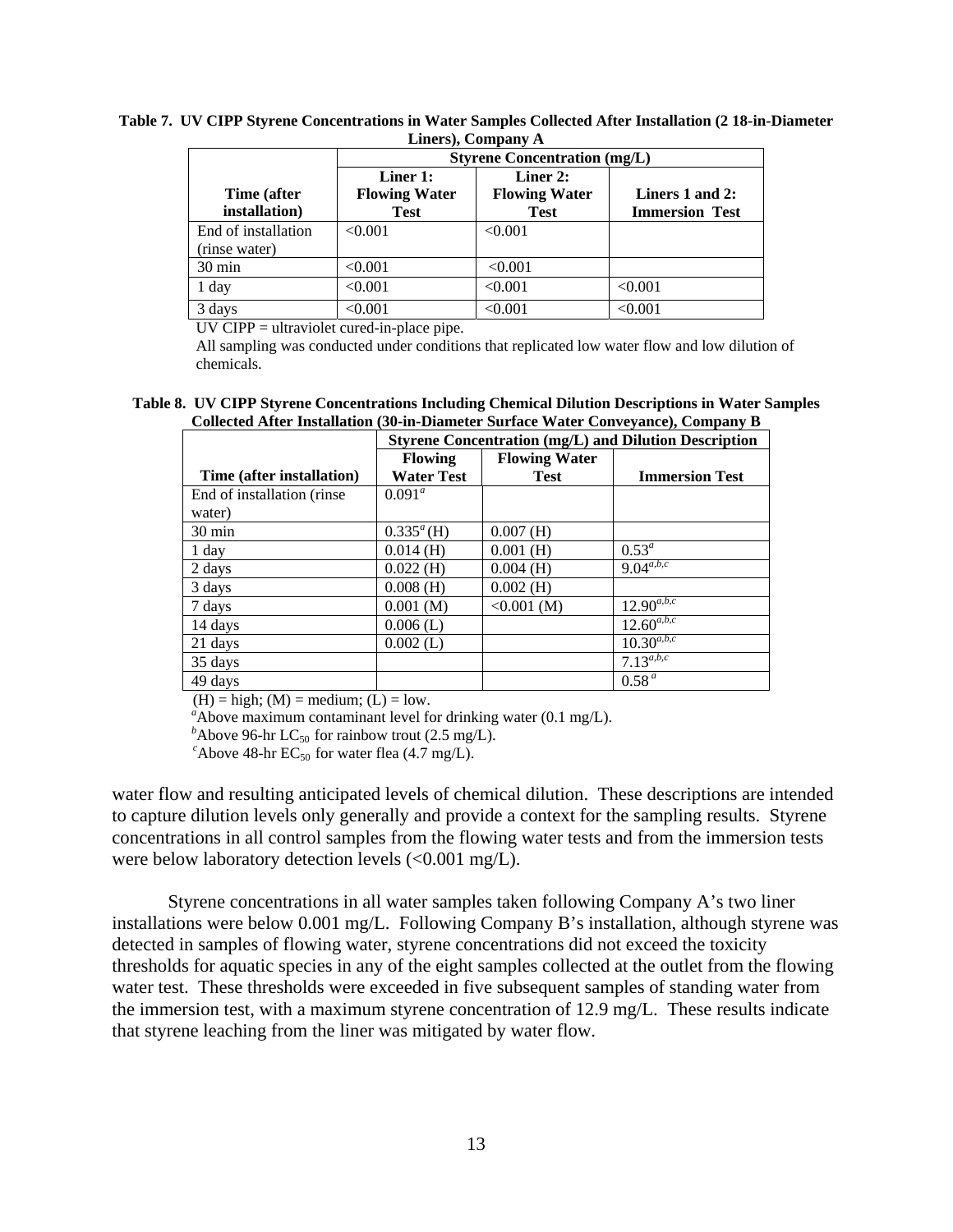|                                      |                                                                                                                                                | <b>Styrene Concentration (mg/L)</b> |         |  |  |  |
|--------------------------------------|------------------------------------------------------------------------------------------------------------------------------------------------|-------------------------------------|---------|--|--|--|
| Time (after<br>installation)         | Liner 2:<br>Liner 1:<br><b>Flowing Water</b><br><b>Flowing Water</b><br>Liners 1 and 2:<br><b>Test</b><br><b>Immersion Test</b><br><b>Test</b> |                                     |         |  |  |  |
| End of installation<br>(rinse water) | < 0.001                                                                                                                                        | < 0.001                             |         |  |  |  |
| $30 \text{ min}$                     | < 0.001                                                                                                                                        | < 0.001                             |         |  |  |  |
| 1 day                                | < 0.001                                                                                                                                        | < 0.001                             | < 0.001 |  |  |  |
| 3 days                               | < 0.001                                                                                                                                        | < 0.001                             | < 0.001 |  |  |  |

**Table 7. UV CIPP Styrene Concentrations in Water Samples Collected After Installation (2 18-in-Diameter Liners), Company A** 

UV CIPP = ultraviolet cured-in-place pipe.

All sampling was conducted under conditions that replicated low water flow and low dilution of chemicals.

**Table 8. UV CIPP Styrene Concentrations Including Chemical Dilution Descriptions in Water Samples Collected After Installation (30-in-Diameter Surface Water Conveyance), Company B** 

|                            | <b>Styrene Concentration (mg/L) and Dilution Description</b> |                      |                       |  |
|----------------------------|--------------------------------------------------------------|----------------------|-----------------------|--|
|                            | <b>Flowing</b>                                               | <b>Flowing Water</b> |                       |  |
| Time (after installation)  | <b>Water Test</b>                                            | <b>Test</b>          | <b>Immersion Test</b> |  |
| End of installation (rinse | $0.091^a$                                                    |                      |                       |  |
| water)                     |                                                              |                      |                       |  |
| $30 \text{ min}$           | $0.335^{\circ}$ (H)                                          | $0.007$ (H)          |                       |  |
| 1 day                      | $0.014$ (H)                                                  | $0.001$ (H)          | $0.53^a$              |  |
| 2 days                     | $0.022$ (H)                                                  | $0.004$ (H)          | $9.04^{a,b,c}$        |  |
| 3 days                     | $0.008$ (H)                                                  | $0.002$ (H)          |                       |  |
| 7 days                     | 0.001(M)                                                     | $< 0.001$ (M)        | $12.90^{a,b,c}$       |  |
| 14 days                    | $0.006$ (L)                                                  |                      | $12.60^{a,b,c}$       |  |
| 21 days                    | $0.002$ (L)                                                  |                      | $10.30^{a,b,c}$       |  |
| 35 days                    |                                                              |                      | $7.13^{a,b,c}$        |  |
| 49 days                    |                                                              |                      | 0.58 <sup>a</sup>     |  |

 $(H) = high$ ;  $(M) = medium$ ;  $(L) = low$ .

 $a^a$ Above maximum contaminant level for drinking water  $(0.1 \text{ mg/L})$ .

*b*Above 96-hr LC<sub>50</sub> for rainbow trout (2.5 mg/L). *c*Above 48-hr EC<sub>50</sub> for water flea (4.7 mg/L).

water flow and resulting anticipated levels of chemical dilution. These descriptions are intended to capture dilution levels only generally and provide a context for the sampling results. Styrene concentrations in all control samples from the flowing water tests and from the immersion tests were below laboratory detection levels (<0.001 mg/L).

Styrene concentrations in all water samples taken following Company A's two liner installations were below 0.001 mg/L. Following Company B's installation, although styrene was detected in samples of flowing water, styrene concentrations did not exceed the toxicity thresholds for aquatic species in any of the eight samples collected at the outlet from the flowing water test. These thresholds were exceeded in five subsequent samples of standing water from the immersion test, with a maximum styrene concentration of 12.9 mg/L. These results indicate that styrene leaching from the liner was mitigated by water flow.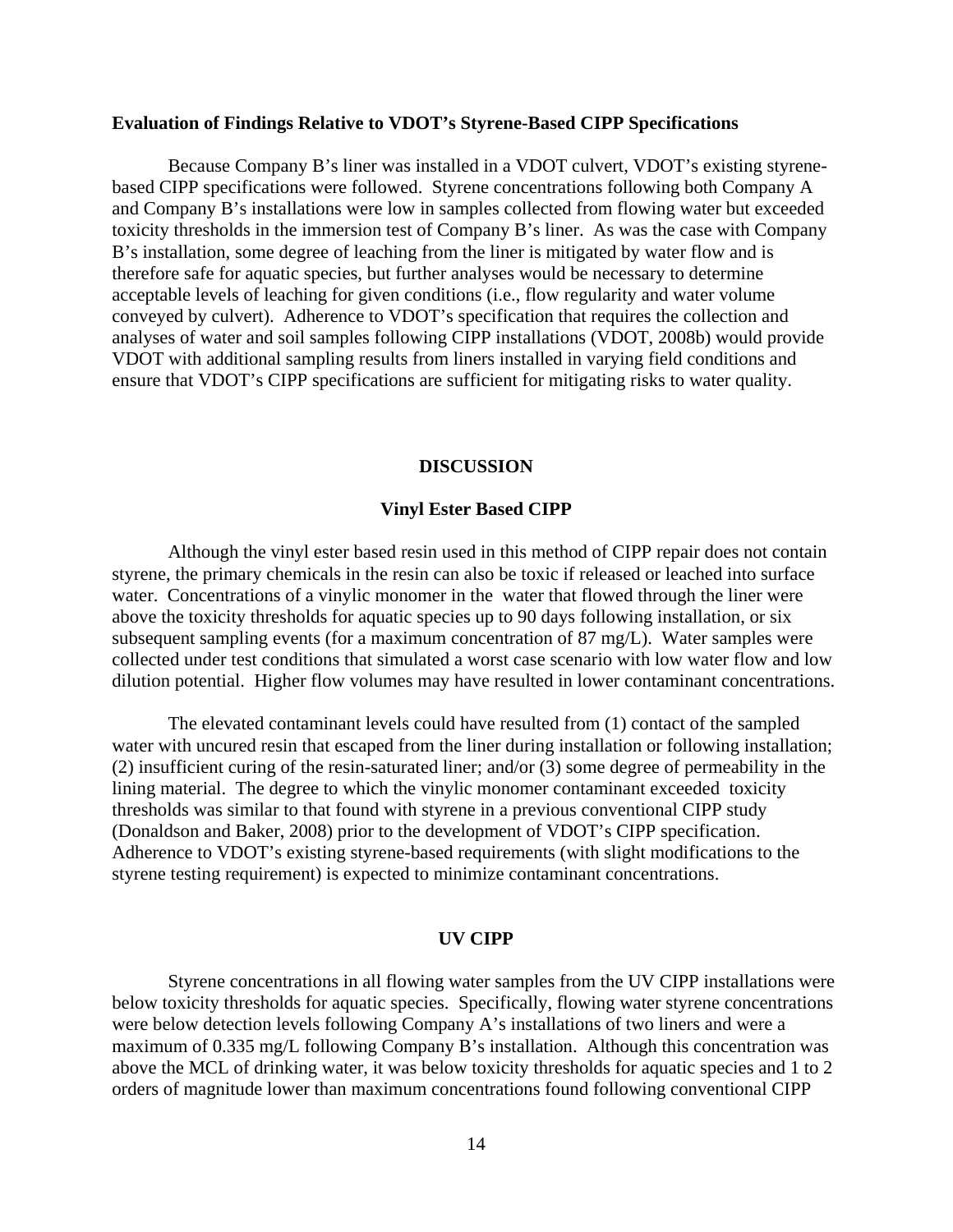### **Evaluation of Findings Relative to VDOT's Styrene-Based CIPP Specifications**

Because Company B's liner was installed in a VDOT culvert, VDOT's existing styrenebased CIPP specifications were followed. Styrene concentrations following both Company A and Company B's installations were low in samples collected from flowing water but exceeded toxicity thresholds in the immersion test of Company B's liner. As was the case with Company B's installation, some degree of leaching from the liner is mitigated by water flow and is therefore safe for aquatic species, but further analyses would be necessary to determine acceptable levels of leaching for given conditions (i.e., flow regularity and water volume conveyed by culvert). Adherence to VDOT's specification that requires the collection and analyses of water and soil samples following CIPP installations (VDOT, 2008b) would provide VDOT with additional sampling results from liners installed in varying field conditions and ensure that VDOT's CIPP specifications are sufficient for mitigating risks to water quality.

### **DISCUSSION**

### **Vinyl Ester Based CIPP**

Although the vinyl ester based resin used in this method of CIPP repair does not contain styrene, the primary chemicals in the resin can also be toxic if released or leached into surface water. Concentrations of a vinylic monomer in the water that flowed through the liner were above the toxicity thresholds for aquatic species up to 90 days following installation, or six subsequent sampling events (for a maximum concentration of 87 mg/L). Water samples were collected under test conditions that simulated a worst case scenario with low water flow and low dilution potential. Higher flow volumes may have resulted in lower contaminant concentrations.

The elevated contaminant levels could have resulted from (1) contact of the sampled water with uncured resin that escaped from the liner during installation or following installation; (2) insufficient curing of the resin-saturated liner; and/or (3) some degree of permeability in the lining material. The degree to which the vinylic monomer contaminant exceeded toxicity thresholds was similar to that found with styrene in a previous conventional CIPP study (Donaldson and Baker, 2008) prior to the development of VDOT's CIPP specification. Adherence to VDOT's existing styrene-based requirements (with slight modifications to the styrene testing requirement) is expected to minimize contaminant concentrations.

### **UV CIPP**

Styrene concentrations in all flowing water samples from the UV CIPP installations were below toxicity thresholds for aquatic species. Specifically, flowing water styrene concentrations were below detection levels following Company A's installations of two liners and were a maximum of 0.335 mg/L following Company B's installation. Although this concentration was above the MCL of drinking water, it was below toxicity thresholds for aquatic species and 1 to 2 orders of magnitude lower than maximum concentrations found following conventional CIPP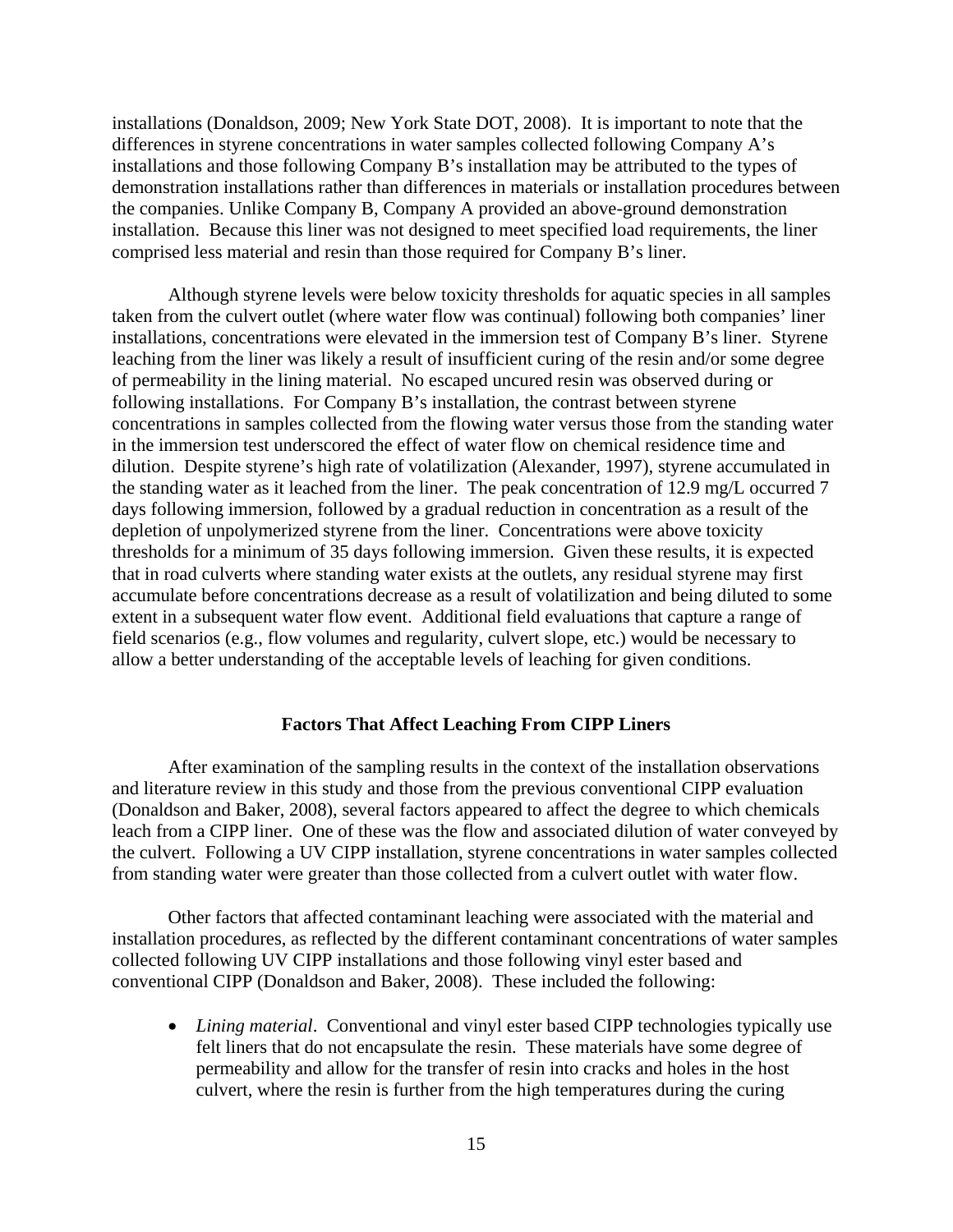installations (Donaldson, 2009; New York State DOT, 2008). It is important to note that the differences in styrene concentrations in water samples collected following Company A's installations and those following Company B's installation may be attributed to the types of demonstration installations rather than differences in materials or installation procedures between the companies. Unlike Company B, Company A provided an above-ground demonstration installation. Because this liner was not designed to meet specified load requirements, the liner comprised less material and resin than those required for Company B's liner.

Although styrene levels were below toxicity thresholds for aquatic species in all samples taken from the culvert outlet (where water flow was continual) following both companies' liner installations, concentrations were elevated in the immersion test of Company B's liner. Styrene leaching from the liner was likely a result of insufficient curing of the resin and/or some degree of permeability in the lining material. No escaped uncured resin was observed during or following installations. For Company B's installation, the contrast between styrene concentrations in samples collected from the flowing water versus those from the standing water in the immersion test underscored the effect of water flow on chemical residence time and dilution. Despite styrene's high rate of volatilization (Alexander, 1997), styrene accumulated in the standing water as it leached from the liner. The peak concentration of 12.9 mg/L occurred 7 days following immersion, followed by a gradual reduction in concentration as a result of the depletion of unpolymerized styrene from the liner. Concentrations were above toxicity thresholds for a minimum of 35 days following immersion. Given these results, it is expected that in road culverts where standing water exists at the outlets, any residual styrene may first accumulate before concentrations decrease as a result of volatilization and being diluted to some extent in a subsequent water flow event. Additional field evaluations that capture a range of field scenarios (e.g., flow volumes and regularity, culvert slope, etc.) would be necessary to allow a better understanding of the acceptable levels of leaching for given conditions.

## **Factors That Affect Leaching From CIPP Liners**

After examination of the sampling results in the context of the installation observations and literature review in this study and those from the previous conventional CIPP evaluation (Donaldson and Baker, 2008), several factors appeared to affect the degree to which chemicals leach from a CIPP liner. One of these was the flow and associated dilution of water conveyed by the culvert. Following a UV CIPP installation, styrene concentrations in water samples collected from standing water were greater than those collected from a culvert outlet with water flow.

Other factors that affected contaminant leaching were associated with the material and installation procedures, as reflected by the different contaminant concentrations of water samples collected following UV CIPP installations and those following vinyl ester based and conventional CIPP (Donaldson and Baker, 2008). These included the following:

 *Lining material*. Conventional and vinyl ester based CIPP technologies typically use felt liners that do not encapsulate the resin. These materials have some degree of permeability and allow for the transfer of resin into cracks and holes in the host culvert, where the resin is further from the high temperatures during the curing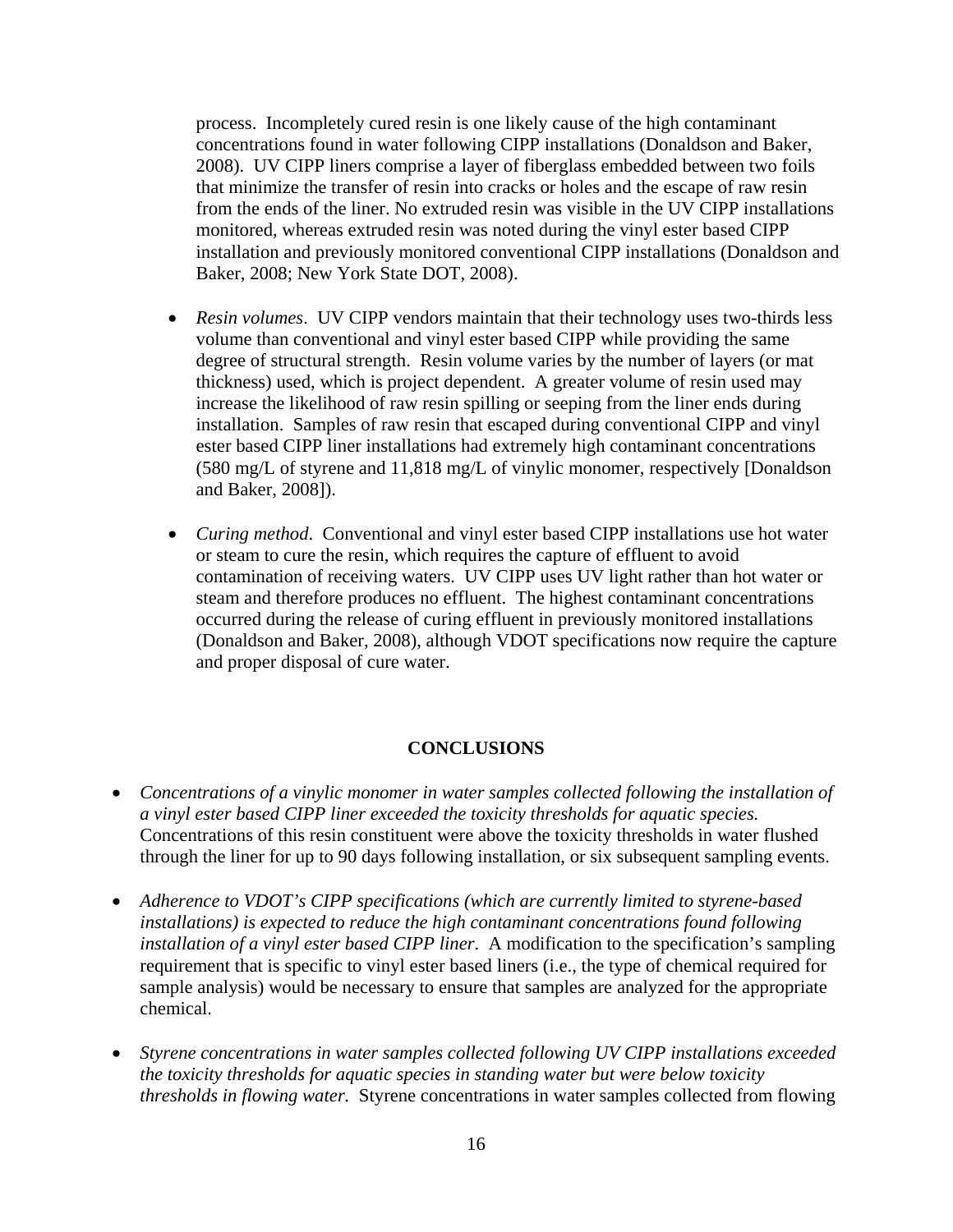process. Incompletely cured resin is one likely cause of the high contaminant concentrations found in water following CIPP installations (Donaldson and Baker, 2008). UV CIPP liners comprise a layer of fiberglass embedded between two foils that minimize the transfer of resin into cracks or holes and the escape of raw resin from the ends of the liner. No extruded resin was visible in the UV CIPP installations monitored, whereas extruded resin was noted during the vinyl ester based CIPP installation and previously monitored conventional CIPP installations (Donaldson and Baker, 2008; New York State DOT, 2008).

- *Resin volumes*. UV CIPP vendors maintain that their technology uses two-thirds less volume than conventional and vinyl ester based CIPP while providing the same degree of structural strength. Resin volume varies by the number of layers (or mat thickness) used, which is project dependent. A greater volume of resin used may increase the likelihood of raw resin spilling or seeping from the liner ends during installation. Samples of raw resin that escaped during conventional CIPP and vinyl ester based CIPP liner installations had extremely high contaminant concentrations (580 mg/L of styrene and 11,818 mg/L of vinylic monomer, respectively [Donaldson and Baker, 2008]).
- *Curing method*. Conventional and vinyl ester based CIPP installations use hot water or steam to cure the resin, which requires the capture of effluent to avoid contamination of receiving waters. UV CIPP uses UV light rather than hot water or steam and therefore produces no effluent. The highest contaminant concentrations occurred during the release of curing effluent in previously monitored installations (Donaldson and Baker, 2008), although VDOT specifications now require the capture and proper disposal of cure water.

# **CONCLUSIONS**

- *Concentrations of a vinylic monomer in water samples collected following the installation of a vinyl ester based CIPP liner exceeded the toxicity thresholds for aquatic species.*  Concentrations of this resin constituent were above the toxicity thresholds in water flushed through the liner for up to 90 days following installation, or six subsequent sampling events.
- *Adherence to VDOT's CIPP specifications (which are currently limited to styrene-based installations) is expected to reduce the high contaminant concentrations found following installation of a vinyl ester based CIPP liner*. A modification to the specification's sampling requirement that is specific to vinyl ester based liners (i.e., the type of chemical required for sample analysis) would be necessary to ensure that samples are analyzed for the appropriate chemical.
- *Styrene concentrations in water samples collected following UV CIPP installations exceeded the toxicity thresholds for aquatic species in standing water but were below toxicity thresholds in flowing water.* Styrene concentrations in water samples collected from flowing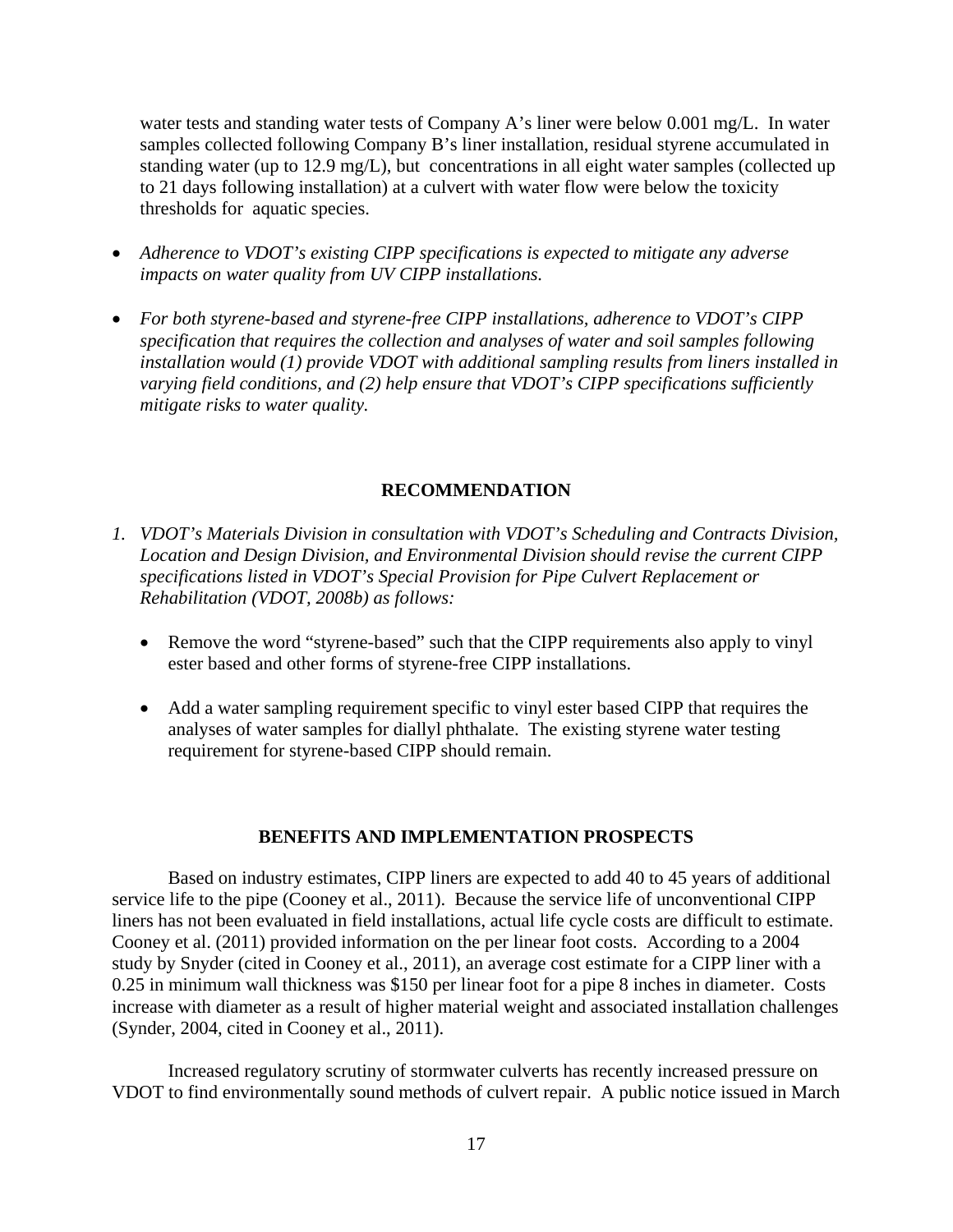water tests and standing water tests of Company A's liner were below 0.001 mg/L. In water samples collected following Company B's liner installation, residual styrene accumulated in standing water (up to 12.9 mg/L), but concentrations in all eight water samples (collected up to 21 days following installation) at a culvert with water flow were below the toxicity thresholds for aquatic species.

- *Adherence to VDOT's existing CIPP specifications is expected to mitigate any adverse impacts on water quality from UV CIPP installations.*
- *For both styrene-based and styrene-free CIPP installations, adherence to VDOT's CIPP specification that requires the collection and analyses of water and soil samples following installation would (1) provide VDOT with additional sampling results from liners installed in varying field conditions, and (2) help ensure that VDOT's CIPP specifications sufficiently mitigate risks to water quality.*

## **RECOMMENDATION**

- *1. VDOT's Materials Division in consultation with VDOT's Scheduling and Contracts Division, Location and Design Division, and Environmental Division should revise the current CIPP specifications listed in VDOT's Special Provision for Pipe Culvert Replacement or Rehabilitation (VDOT, 2008b) as follows:* 
	- Remove the word "styrene-based" such that the CIPP requirements also apply to vinyl ester based and other forms of styrene-free CIPP installations.
	- Add a water sampling requirement specific to vinyl ester based CIPP that requires the analyses of water samples for diallyl phthalate. The existing styrene water testing requirement for styrene-based CIPP should remain.

## **BENEFITS AND IMPLEMENTATION PROSPECTS**

Based on industry estimates, CIPP liners are expected to add 40 to 45 years of additional service life to the pipe (Cooney et al., 2011). Because the service life of unconventional CIPP liners has not been evaluated in field installations, actual life cycle costs are difficult to estimate. Cooney et al. (2011) provided information on the per linear foot costs. According to a 2004 study by Snyder (cited in Cooney et al., 2011), an average cost estimate for a CIPP liner with a 0.25 in minimum wall thickness was \$150 per linear foot for a pipe 8 inches in diameter. Costs increase with diameter as a result of higher material weight and associated installation challenges (Synder, 2004, cited in Cooney et al., 2011).

Increased regulatory scrutiny of stormwater culverts has recently increased pressure on VDOT to find environmentally sound methods of culvert repair. A public notice issued in March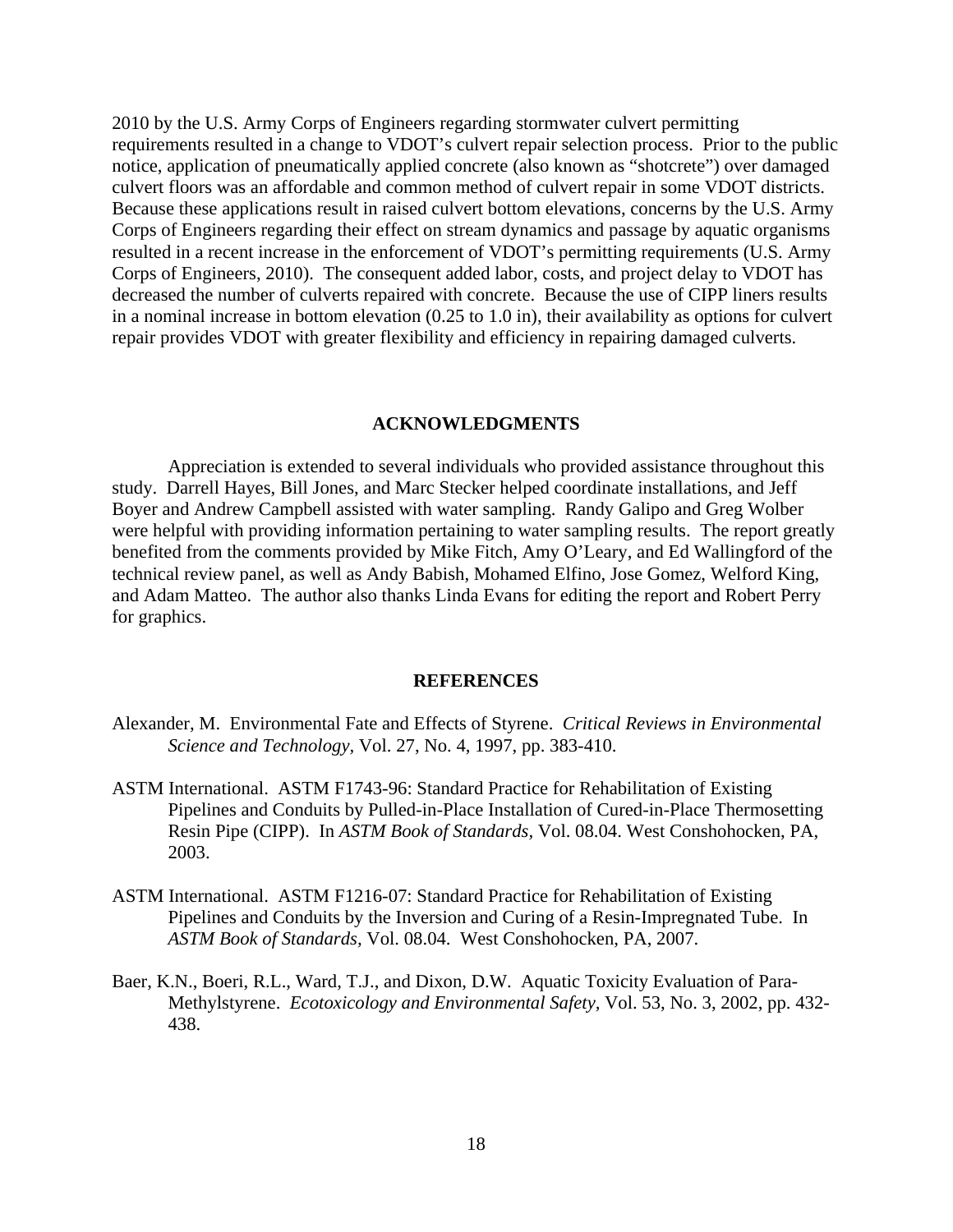2010 by the U.S. Army Corps of Engineers regarding stormwater culvert permitting requirements resulted in a change to VDOT's culvert repair selection process. Prior to the public notice, application of pneumatically applied concrete (also known as "shotcrete") over damaged culvert floors was an affordable and common method of culvert repair in some VDOT districts. Because these applications result in raised culvert bottom elevations, concerns by the U.S. Army Corps of Engineers regarding their effect on stream dynamics and passage by aquatic organisms resulted in a recent increase in the enforcement of VDOT's permitting requirements (U.S. Army Corps of Engineers, 2010). The consequent added labor, costs, and project delay to VDOT has decreased the number of culverts repaired with concrete. Because the use of CIPP liners results in a nominal increase in bottom elevation (0.25 to 1.0 in), their availability as options for culvert repair provides VDOT with greater flexibility and efficiency in repairing damaged culverts.

#### **ACKNOWLEDGMENTS**

Appreciation is extended to several individuals who provided assistance throughout this study. Darrell Hayes, Bill Jones, and Marc Stecker helped coordinate installations, and Jeff Boyer and Andrew Campbell assisted with water sampling. Randy Galipo and Greg Wolber were helpful with providing information pertaining to water sampling results. The report greatly benefited from the comments provided by Mike Fitch, Amy O'Leary, and Ed Wallingford of the technical review panel, as well as Andy Babish, Mohamed Elfino, Jose Gomez, Welford King, and Adam Matteo. The author also thanks Linda Evans for editing the report and Robert Perry for graphics.

#### **REFERENCES**

- Alexander, M. Environmental Fate and Effects of Styrene. *Critical Reviews in Environmental Science and Technology,* Vol. 27, No. 4, 1997, pp. 383-410.
- ASTM International. ASTM F1743-96: Standard Practice for Rehabilitation of Existing Pipelines and Conduits by Pulled-in-Place Installation of Cured-in-Place Thermosetting Resin Pipe (CIPP). In *ASTM Book of Standards,* Vol. 08.04. West Conshohocken, PA, 2003.
- ASTM International. ASTM F1216-07: Standard Practice for Rehabilitation of Existing Pipelines and Conduits by the Inversion and Curing of a Resin-Impregnated Tube. In *ASTM Book of Standards,* Vol. 08.04. West Conshohocken, PA, 2007.
- Baer, K.N., Boeri, R.L., Ward, T.J., and Dixon, D.W. Aquatic Toxicity Evaluation of Para-Methylstyrene. *Ecotoxicology and Environmental Safety,* Vol. 53, No. 3, 2002, pp. 432- 438.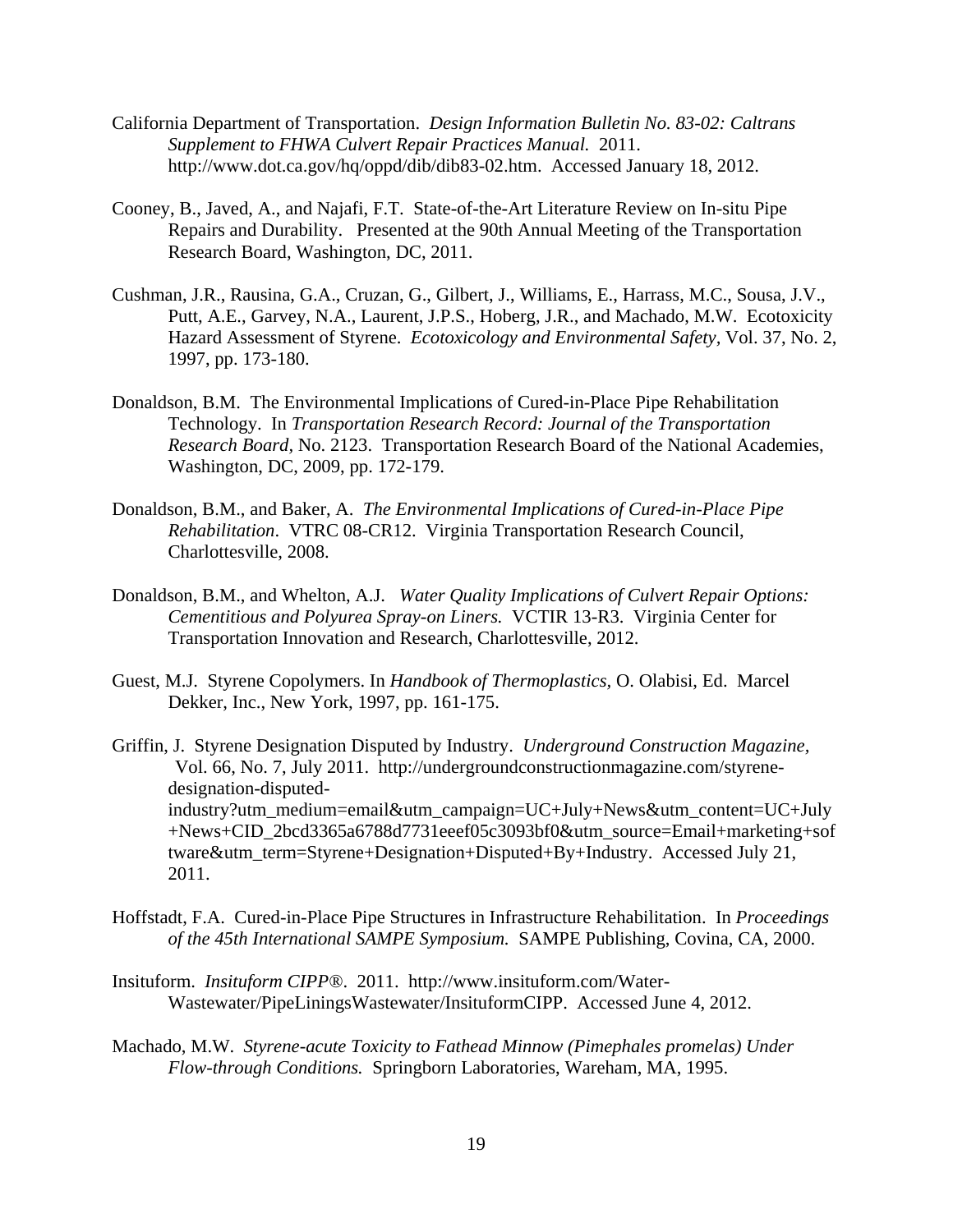- California Department of Transportation. *Design Information Bulletin No. 83-02: Caltrans Supplement to FHWA Culvert Repair Practices Manual.* 2011. http://www.dot.ca.gov/hq/oppd/dib/dib83-02.htm. Accessed January 18, 2012.
- Cooney, B., Javed, A., and Najafi, F.T. State-of-the-Art Literature Review on In-situ Pipe Repairs and Durability. Presented at the 90th Annual Meeting of the Transportation Research Board, Washington, DC, 2011.
- Cushman, J.R., Rausina, G.A., Cruzan, G., Gilbert, J., Williams, E., Harrass, M.C., Sousa, J.V., Putt, A.E., Garvey, N.A., Laurent, J.P.S., Hoberg, J.R., and Machado, M.W. Ecotoxicity Hazard Assessment of Styrene. *Ecotoxicology and Environmental Safety,* Vol. 37, No. 2, 1997, pp. 173-180.
- Donaldson, B.M. The Environmental Implications of Cured-in-Place Pipe Rehabilitation Technology.In *Transportation Research Record: Journal of the Transportation Research Board,* No. 2123. Transportation Research Board of the National Academies, Washington, DC, 2009, pp. 172-179.
- Donaldson, B.M., and Baker, A. *The Environmental Implications of Cured-in-Place Pipe Rehabilitation*. VTRC 08-CR12. Virginia Transportation Research Council, Charlottesville, 2008.
- Donaldson, B.M., and Whelton, A.J. *Water Quality Implications of Culvert Repair Options: Cementitious and Polyurea Spray-on Liners.* VCTIR 13-R3. Virginia Center for Transportation Innovation and Research, Charlottesville, 2012.
- Guest, M.J. Styrene Copolymers. In *Handbook of Thermoplastics,* O. Olabisi, Ed. Marcel Dekker, Inc., New York, 1997, pp. 161-175.
- Griffin, J. Styrene Designation Disputed by Industry. *Underground Construction Magazine,* Vol. 66, No. 7, July 2011. http://undergroundconstructionmagazine.com/styrenedesignation-disputedindustry?utm\_medium=email&utm\_campaign=UC+July+News&utm\_content=UC+July +News+CID\_2bcd3365a6788d7731eeef05c3093bf0&utm\_source=Email+marketing+sof tware&utm\_term=Styrene+Designation+Disputed+By+Industry. Accessed July 21, 2011.
- Hoffstadt, F.A. Cured-in-Place Pipe Structures in Infrastructure Rehabilitation. In *Proceedings of the 45th International SAMPE Symposium.* SAMPE Publishing, Covina, CA, 2000.
- Insituform. *Insituform CIPP®*. 2011. http://www.insituform.com/Water-Wastewater/PipeLiningsWastewater/InsituformCIPP. Accessed June 4, 2012.
- Machado, M.W. *Styrene-acute Toxicity to Fathead Minnow (Pimephales promelas) Under Flow-through Conditions.* Springborn Laboratories, Wareham, MA, 1995.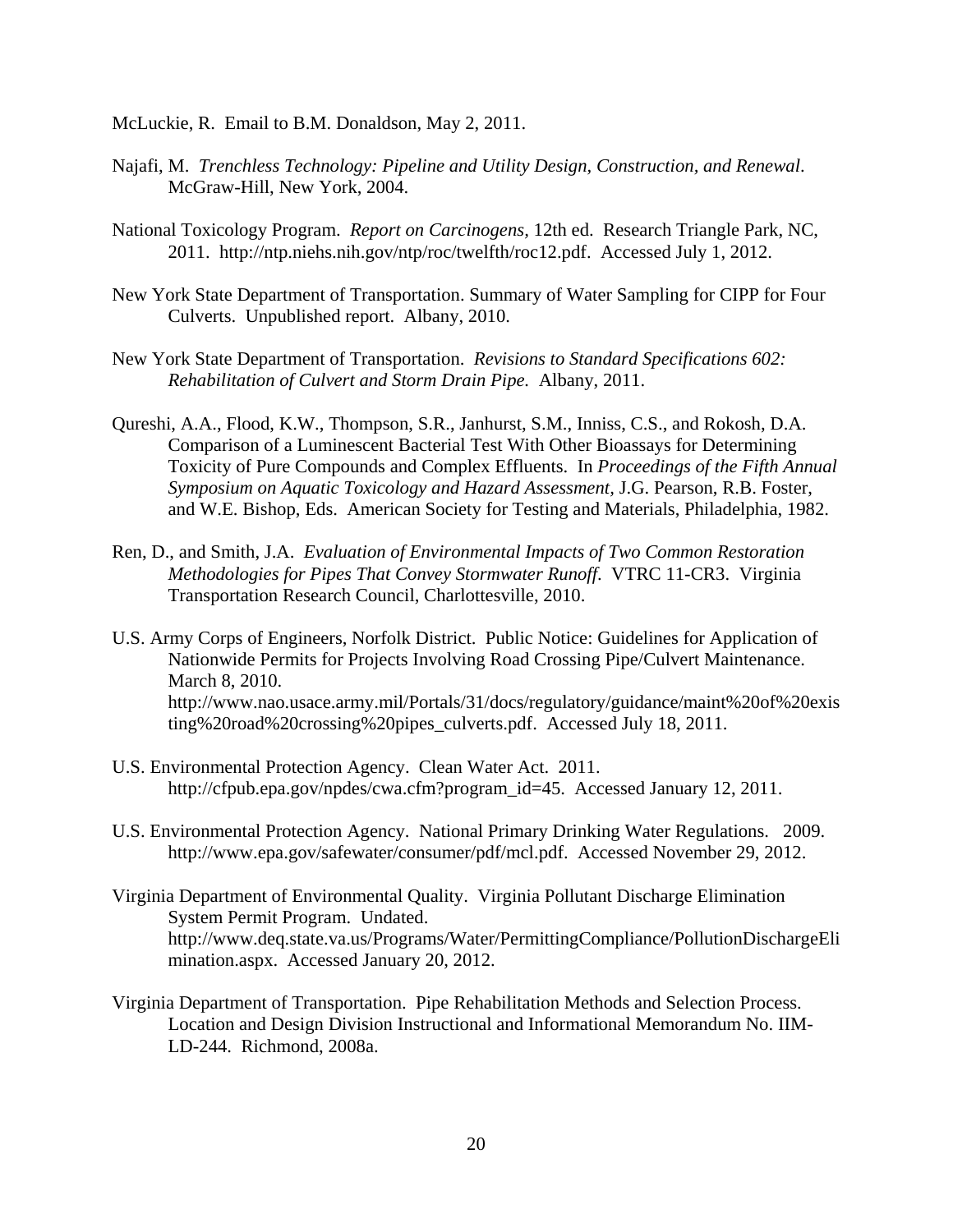McLuckie, R. Email to B.M. Donaldson, May 2, 2011.

- Najafi, M. *Trenchless Technology: Pipeline and Utility Design, Construction, and Renewal*. McGraw-Hill, New York, 2004.
- National Toxicology Program. *Report on Carcinogens,* 12th ed. Research Triangle Park, NC, 2011. http://ntp.niehs.nih.gov/ntp/roc/twelfth/roc12.pdf. Accessed July 1, 2012.
- New York State Department of Transportation. Summary of Water Sampling for CIPP for Four Culverts. Unpublished report. Albany, 2010.
- New York State Department of Transportation. *Revisions to Standard Specifications 602: Rehabilitation of Culvert and Storm Drain Pipe.* Albany, 2011.
- Qureshi, A.A., Flood, K.W., Thompson, S.R., Janhurst, S.M., Inniss, C.S., and Rokosh, D.A. Comparison of a Luminescent Bacterial Test With Other Bioassays for Determining Toxicity of Pure Compounds and Complex Effluents. In *Proceedings of the Fifth Annual Symposium on Aquatic Toxicology and Hazard Assessment,* J.G. Pearson, R.B. Foster, and W.E. Bishop, Eds. American Society for Testing and Materials, Philadelphia, 1982.
- Ren, D., and Smith, J.A. *Evaluation of Environmental Impacts of Two Common Restoration Methodologies for Pipes That Convey Stormwater Runoff*. VTRC 11-CR3. Virginia Transportation Research Council, Charlottesville, 2010.
- U.S. Army Corps of Engineers, Norfolk District. Public Notice: Guidelines for Application of Nationwide Permits for Projects Involving Road Crossing Pipe/Culvert Maintenance. March 8, 2010. http://www.nao.usace.army.mil/Portals/31/docs/regulatory/guidance/maint%20of%20exis ting%20road%20crossing%20pipes\_culverts.pdf. Accessed July 18, 2011.
- U.S. Environmental Protection Agency. Clean Water Act. 2011. http://cfpub.epa.gov/npdes/cwa.cfm?program\_id=45. Accessed January 12, 2011.
- U.S. Environmental Protection Agency. National Primary Drinking Water Regulations. 2009. http://www.epa.gov/safewater/consumer/pdf/mcl.pdf. Accessed November 29, 2012.
- Virginia Department of Environmental Quality. Virginia Pollutant Discharge Elimination System Permit Program. Undated. http://www.deq.state.va.us/Programs/Water/PermittingCompliance/PollutionDischargeEli mination.aspx. Accessed January 20, 2012.
- Virginia Department of Transportation. Pipe Rehabilitation Methods and Selection Process. Location and Design Division Instructional and Informational Memorandum No. IIM-LD-244.Richmond, 2008a.